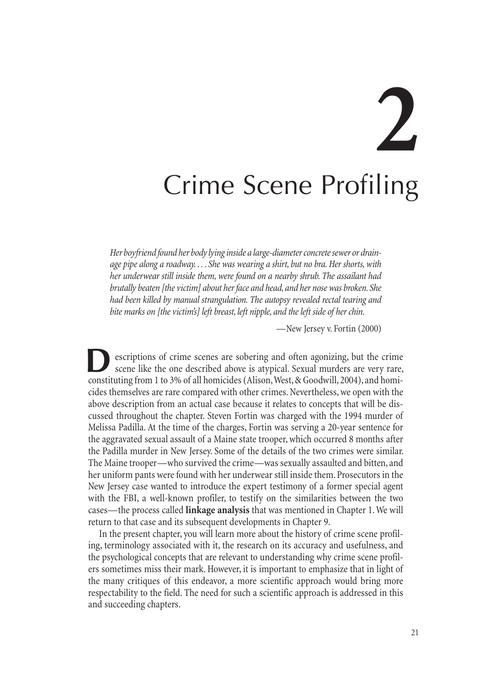# Crime Scene Profiling **2**

*Her boyfriend found her body lying inside a large-diameter concrete sewer or drainage pipe along a roadway. . . . She was wearing a shirt, but no bra. Her shorts, with her underwear still inside them, were found on a nearby shrub. The assailant had brutally beaten [the victim] about her face and head, and her nose was broken. She had been killed by manual strangulation. The autopsy revealed rectal tearing and bite marks on [the victim's] left breast, left nipple, and the left side of her chin.*

—New Jersey v. Fortin (2000)

**D**escriptions of crime scenes are sobering and often agonizing, but the crime scene like the one described above is atypical. Sexual murders are very rare, constituting from 1 to 3% of all homicides (Alison, West, & Goodwill, 2004), and homicides themselves are rare compared with other crimes. Nevertheless, we open with the above description from an actual case because it relates to concepts that will be discussed throughout the chapter. Steven Fortin was charged with the 1994 murder of Melissa Padilla. At the time of the charges, Fortin was serving a 20-year sentence for the aggravated sexual assault of a Maine state trooper, which occurred 8 months after the Padilla murder in New Jersey. Some of the details of the two crimes were similar. The Maine trooper—who survived the crime—was sexually assaulted and bitten, and her uniform pants were found with her underwear still inside them. Prosecutors in the New Jersey case wanted to introduce the expert testimony of a former special agent with the FBI, a well-known profiler, to testify on the similarities between the two cases—the process called **linkage analysis** that was mentioned in Chapter 1. We will return to that case and its subsequent developments in Chapter 9.

In the present chapter, you will learn more about the history of crime scene profiling, terminology associated with it, the research on its accuracy and usefulness, and the psychological concepts that are relevant to understanding why crime scene profilers sometimes miss their mark. However, it is important to emphasize that in light of the many critiques of this endeavor, a more scientific approach would bring more respectability to the field. The need for such a scientific approach is addressed in this and succeeding chapters.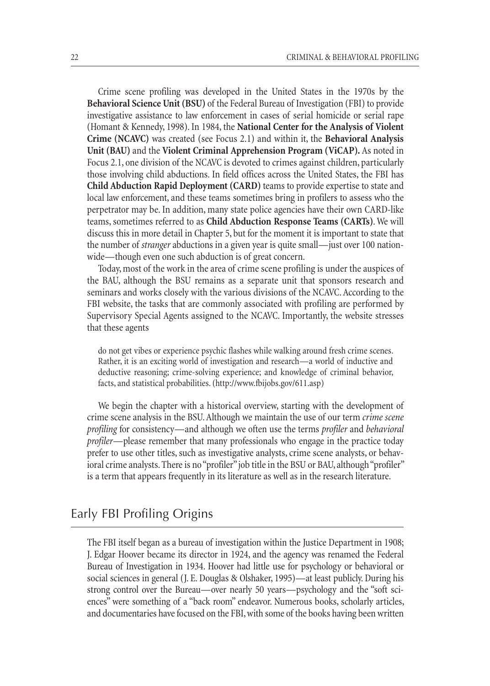Crime scene profiling was developed in the United States in the 1970s by the **Behavioral Science Unit (BSU)** of the Federal Bureau of Investigation (FBI) to provide investigative assistance to law enforcement in cases of serial homicide or serial rape (Homant & Kennedy, 1998). In 1984, the **National Center for the Analysis of Violent Crime (NCAVC)** was created (see Focus 2.1) and within it, the **Behavioral Analysis Unit (BAU)** and the **Violent Criminal Apprehension Program (ViCAP).** As noted in Focus 2.1, one division of the NCAVC is devoted to crimes against children, particularly those involving child abductions. In field offices across the United States, the FBI has **Child Abduction Rapid Deployment (CARD)** teams to provide expertise to state and local law enforcement, and these teams sometimes bring in profilers to assess who the perpetrator may be. In addition, many state police agencies have their own CARD-like teams, sometimes referred to as **Child Abduction Response Teams (CARTs)**. We will discuss this in more detail in Chapter 5, but for the moment it is important to state that the number of *stranger* abductions in a given year is quite small—just over 100 nationwide—though even one such abduction is of great concern.

Today, most of the work in the area of crime scene profiling is under the auspices of the BAU, although the BSU remains as a separate unit that sponsors research and seminars and works closely with the various divisions of the NCAVC. According to the FBI website, the tasks that are commonly associated with profiling are performed by Supervisory Special Agents assigned to the NCAVC. Importantly, the website stresses that these agents

do not get vibes or experience psychic flashes while walking around fresh crime scenes. Rather, it is an exciting world of investigation and research—a world of inductive and deductive reasoning; crime-solving experience; and knowledge of criminal behavior, facts, and statistical probabilities. (http://www.fbijobs.gov/611.asp)

We begin the chapter with a historical overview, starting with the development of crime scene analysis in the BSU. Although we maintain the use of our term *crime scene profiling* for consistency—and although we often use the terms *profiler* and *behavioral profiler*—please remember that many professionals who engage in the practice today prefer to use other titles, such as investigative analysts, crime scene analysts, or behavioral crime analysts. There is no "profiler" job title in the BSU or BAU, although "profiler" is a term that appears frequently in its literature as well as in the research literature.

# Early FBI Profiling Origins

The FBI itself began as a bureau of investigation within the Justice Department in 1908; J. Edgar Hoover became its director in 1924, and the agency was renamed the Federal Bureau of Investigation in 1934. Hoover had little use for psychology or behavioral or social sciences in general (J. E. Douglas & Olshaker, 1995)—at least publicly. During his strong control over the Bureau—over nearly 50 years—psychology and the "soft sciences" were something of a "back room" endeavor. Numerous books, scholarly articles, and documentaries have focused on the FBI, with some of the books having been written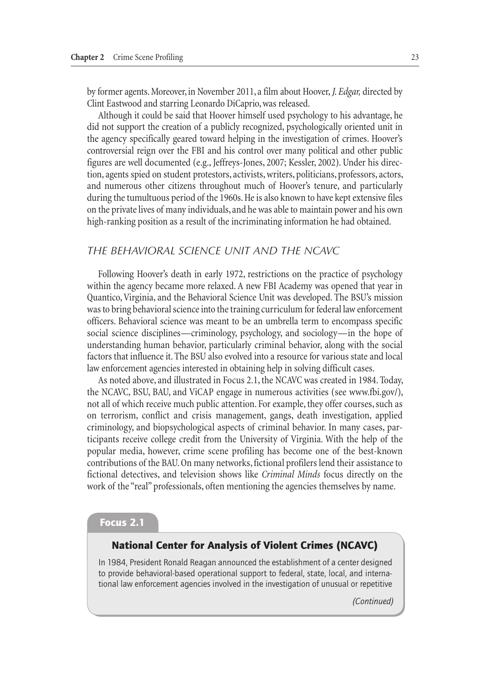by former agents. Moreover, in November 2011, a film about Hoover, *J. Edgar,* directed by Clint Eastwood and starring Leonardo DiCaprio, was released.

Although it could be said that Hoover himself used psychology to his advantage, he did not support the creation of a publicly recognized, psychologically oriented unit in the agency specifically geared toward helping in the investigation of crimes. Hoover's controversial reign over the FBI and his control over many political and other public figures are well documented (e.g., Jeffreys-Jones, 2007; Kessler, 2002). Under his direction, agents spied on student protestors, activists, writers, politicians, professors, actors, and numerous other citizens throughout much of Hoover's tenure, and particularly during the tumultuous period of the 1960s. He is also known to have kept extensive files on the private lives of many individuals, and he was able to maintain power and his own high-ranking position as a result of the incriminating information he had obtained.

#### *THE BEHAVIORAL SCIENCE UNIT AND THE NCAVC*

Following Hoover's death in early 1972, restrictions on the practice of psychology within the agency became more relaxed. A new FBI Academy was opened that year in Quantico, Virginia, and the Behavioral Science Unit was developed. The BSU's mission was to bring behavioral science into the training curriculum for federal law enforcement officers. Behavioral science was meant to be an umbrella term to encompass specific social science disciplines—criminology, psychology, and sociology—in the hope of understanding human behavior, particularly criminal behavior, along with the social factors that influence it. The BSU also evolved into a resource for various state and local law enforcement agencies interested in obtaining help in solving difficult cases.

As noted above, and illustrated in Focus 2.1, the NCAVC was created in 1984. Today, the NCAVC, BSU, BAU, and ViCAP engage in numerous activities (see www.fbi.gov/), not all of which receive much public attention. For example, they offer courses, such as on terrorism, conflict and crisis management, gangs, death investigation, applied criminology, and biopsychological aspects of criminal behavior. In many cases, participants receive college credit from the University of Virginia. With the help of the popular media, however, crime scene profiling has become one of the best-known contributions of the BAU. On many networks, fictional profilers lend their assistance to fictional detectives, and television shows like *Criminal Minds* focus directly on the work of the "real" professionals, often mentioning the agencies themselves by name.

#### Focus 2.1

#### National Center for Analysis of Violent Crimes (NCAVC)

In 1984, President Ronald Reagan announced the establishment of a center designed to provide behavioral-based operational support to federal, state, local, and international law enforcement agencies involved in the investigation of unusual or repetitive

*(Continued)*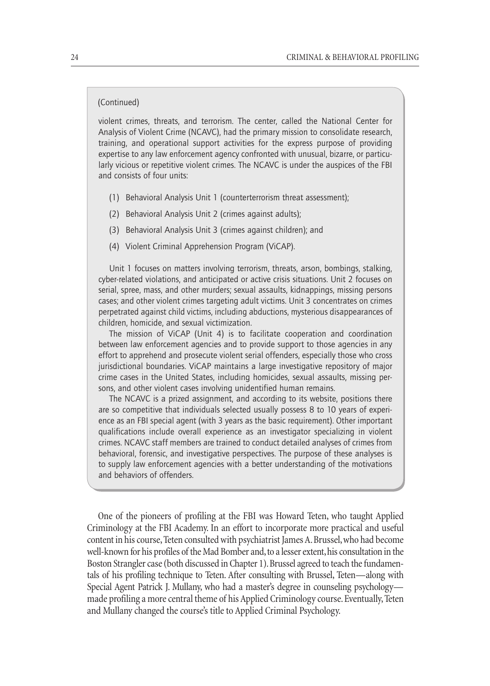#### (Continued)

violent crimes, threats, and terrorism. The center, called the National Center for Analysis of Violent Crime (NCAVC), had the primary mission to consolidate research, training, and operational support activities for the express purpose of providing expertise to any law enforcement agency confronted with unusual, bizarre, or particularly vicious or repetitive violent crimes. The NCAVC is under the auspices of the FBI and consists of four units:

- (1) Behavioral Analysis Unit 1 (counterterrorism threat assessment);
- (2) Behavioral Analysis Unit 2 (crimes against adults);
- (3) Behavioral Analysis Unit 3 (crimes against children); and
- (4) Violent Criminal Apprehension Program (ViCAP).

Unit 1 focuses on matters involving terrorism, threats, arson, bombings, stalking, cyber-related violations, and anticipated or active crisis situations. Unit 2 focuses on serial, spree, mass, and other murders; sexual assaults, kidnappings, missing persons cases; and other violent crimes targeting adult victims. Unit 3 concentrates on crimes perpetrated against child victims, including abductions, mysterious disappearances of children, homicide, and sexual victimization.

The mission of ViCAP (Unit 4) is to facilitate cooperation and coordination between law enforcement agencies and to provide support to those agencies in any effort to apprehend and prosecute violent serial offenders, especially those who cross jurisdictional boundaries. ViCAP maintains a large investigative repository of major crime cases in the United States, including homicides, sexual assaults, missing persons, and other violent cases involving unidentified human remains.

The NCAVC is a prized assignment, and according to its website, positions there are so competitive that individuals selected usually possess 8 to 10 years of experience as an FBI special agent (with 3 years as the basic requirement). Other important qualifications include overall experience as an investigator specializing in violent crimes. NCAVC staff members are trained to conduct detailed analyses of crimes from behavioral, forensic, and investigative perspectives. The purpose of these analyses is to supply law enforcement agencies with a better understanding of the motivations and behaviors of offenders.

One of the pioneers of profiling at the FBI was Howard Teten, who taught Applied Criminology at the FBI Academy. In an effort to incorporate more practical and useful content in his course, Teten consulted with psychiatrist James A. Brussel, who had become well-known for his profiles of the Mad Bomber and, to a lesser extent, his consultation in the Boston Strangler case (both discussed in Chapter 1). Brussel agreed to teach the fundamentals of his profiling technique to Teten. After consulting with Brussel, Teten—along with Special Agent Patrick J. Mullany, who had a master's degree in counseling psychology made profiling a more central theme of his Applied Criminology course. Eventually, Teten and Mullany changed the course's title to Applied Criminal Psychology.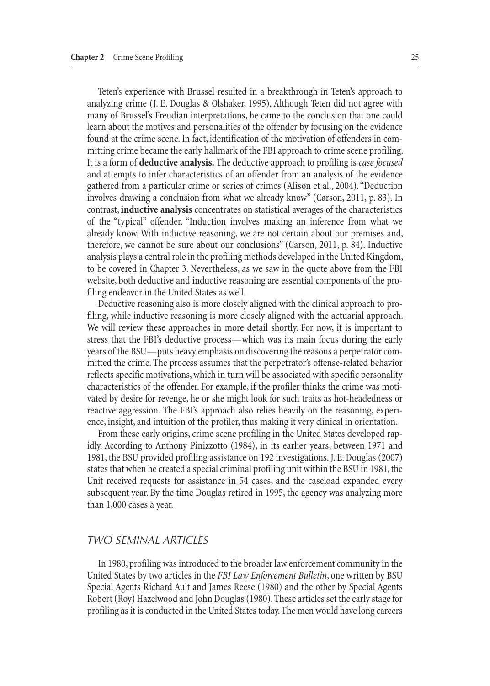Teten's experience with Brussel resulted in a breakthrough in Teten's approach to analyzing crime (J. E. Douglas & Olshaker, 1995). Although Teten did not agree with many of Brussel's Freudian interpretations, he came to the conclusion that one could learn about the motives and personalities of the offender by focusing on the evidence found at the crime scene. In fact, identification of the motivation of offenders in committing crime became the early hallmark of the FBI approach to crime scene profiling. It is a form of **deductive analysis.** The deductive approach to profiling is *case focused* and attempts to infer characteristics of an offender from an analysis of the evidence gathered from a particular crime or series of crimes (Alison et al., 2004). "Deduction involves drawing a conclusion from what we already know" (Carson, 2011, p. 83). In contrast, **inductive analysis** concentrates on statistical averages of the characteristics of the "typical" offender. "Induction involves making an inference from what we already know. With inductive reasoning, we are not certain about our premises and, therefore, we cannot be sure about our conclusions" (Carson, 2011, p. 84). Inductive analysis plays a central role in the profiling methods developed in the United Kingdom, to be covered in Chapter 3. Nevertheless, as we saw in the quote above from the FBI website, both deductive and inductive reasoning are essential components of the profiling endeavor in the United States as well.

Deductive reasoning also is more closely aligned with the clinical approach to profiling, while inductive reasoning is more closely aligned with the actuarial approach. We will review these approaches in more detail shortly. For now, it is important to stress that the FBI's deductive process—which was its main focus during the early years of the BSU—puts heavy emphasis on discovering the reasons a perpetrator committed the crime. The process assumes that the perpetrator's offense-related behavior reflects specific motivations, which in turn will be associated with specific personality characteristics of the offender. For example, if the profiler thinks the crime was motivated by desire for revenge, he or she might look for such traits as hot-headedness or reactive aggression. The FBI's approach also relies heavily on the reasoning, experience, insight, and intuition of the profiler, thus making it very clinical in orientation.

From these early origins, crime scene profiling in the United States developed rapidly. According to Anthony Pinizzotto (1984), in its earlier years, between 1971 and 1981, the BSU provided profiling assistance on 192 investigations. J. E. Douglas (2007) states that when he created a special criminal profiling unit within the BSU in 1981, the Unit received requests for assistance in 54 cases, and the caseload expanded every subsequent year. By the time Douglas retired in 1995, the agency was analyzing more than 1,000 cases a year.

#### *TWO SEMINAL ARTICLES*

In 1980, profiling was introduced to the broader law enforcement community in the United States by two articles in the *FBI Law Enforcement Bulletin*, one written by BSU Special Agents Richard Ault and James Reese (1980) and the other by Special Agents Robert (Roy) Hazelwood and John Douglas (1980). These articles set the early stage for profiling as it is conducted in the United States today. The men would have long careers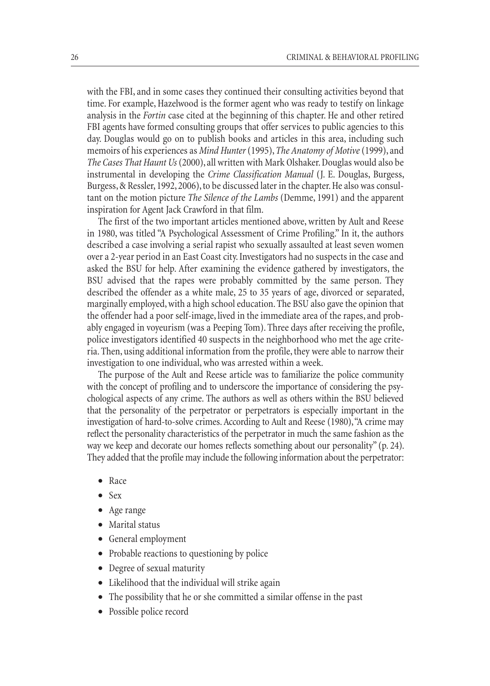with the FBI, and in some cases they continued their consulting activities beyond that time. For example, Hazelwood is the former agent who was ready to testify on linkage analysis in the *Fortin* case cited at the beginning of this chapter. He and other retired FBI agents have formed consulting groups that offer services to public agencies to this day. Douglas would go on to publish books and articles in this area, including such memoirs of his experiences as *Mind Hunter* (1995), *The Anatomy of Motive* (1999), and *The Cases That Haunt Us* (2000), all written with Mark Olshaker. Douglas would also be instrumental in developing the *Crime Classification Manual* (J. E. Douglas, Burgess, Burgess, & Ressler, 1992, 2006), to be discussed later in the chapter. He also was consultant on the motion picture *The Silence of the Lambs* (Demme, 1991) and the apparent inspiration for Agent Jack Crawford in that film.

The first of the two important articles mentioned above, written by Ault and Reese in 1980, was titled "A Psychological Assessment of Crime Profiling." In it, the authors described a case involving a serial rapist who sexually assaulted at least seven women over a 2-year period in an East Coast city. Investigators had no suspects in the case and asked the BSU for help. After examining the evidence gathered by investigators, the BSU advised that the rapes were probably committed by the same person. They described the offender as a white male, 25 to 35 years of age, divorced or separated, marginally employed, with a high school education. The BSU also gave the opinion that the offender had a poor self-image, lived in the immediate area of the rapes, and probably engaged in voyeurism (was a Peeping Tom). Three days after receiving the profile, police investigators identified 40 suspects in the neighborhood who met the age criteria. Then, using additional information from the profile, they were able to narrow their investigation to one individual, who was arrested within a week.

The purpose of the Ault and Reese article was to familiarize the police community with the concept of profiling and to underscore the importance of considering the psychological aspects of any crime. The authors as well as others within the BSU believed that the personality of the perpetrator or perpetrators is especially important in the investigation of hard-to-solve crimes. According to Ault and Reese (1980), "A crime may reflect the personality characteristics of the perpetrator in much the same fashion as the way we keep and decorate our homes reflects something about our personality" (p. 24). They added that the profile may include the following information about the perpetrator:

- Race
- Sex
- Age range
- Marital status
- General employment
- Probable reactions to questioning by police
- Degree of sexual maturity
- Likelihood that the individual will strike again
- The possibility that he or she committed a similar offense in the past
- Possible police record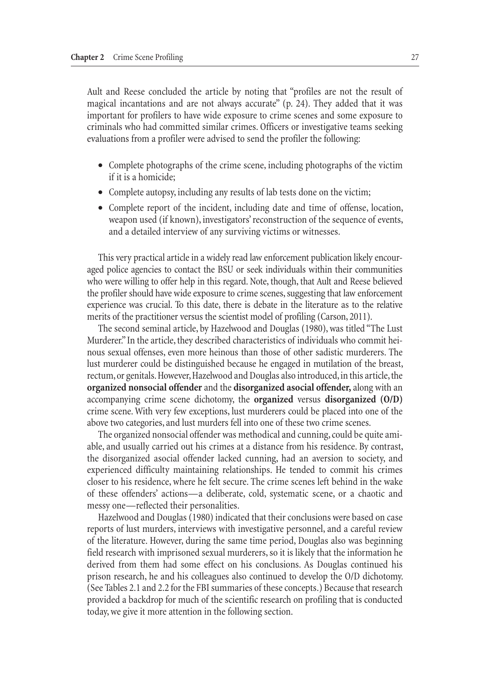Ault and Reese concluded the article by noting that "profiles are not the result of magical incantations and are not always accurate" (p. 24). They added that it was important for profilers to have wide exposure to crime scenes and some exposure to criminals who had committed similar crimes. Officers or investigative teams seeking evaluations from a profiler were advised to send the profiler the following:

- Complete photographs of the crime scene, including photographs of the victim if it is a homicide;
- Complete autopsy, including any results of lab tests done on the victim;
- Complete report of the incident, including date and time of offense, location, weapon used (if known), investigators' reconstruction of the sequence of events, and a detailed interview of any surviving victims or witnesses.

This very practical article in a widely read law enforcement publication likely encouraged police agencies to contact the BSU or seek individuals within their communities who were willing to offer help in this regard. Note, though, that Ault and Reese believed the profiler should have wide exposure to crime scenes, suggesting that law enforcement experience was crucial. To this date, there is debate in the literature as to the relative merits of the practitioner versus the scientist model of profiling (Carson, 2011).

The second seminal article, by Hazelwood and Douglas (1980), was titled "The Lust Murderer." In the article, they described characteristics of individuals who commit heinous sexual offenses, even more heinous than those of other sadistic murderers. The lust murderer could be distinguished because he engaged in mutilation of the breast, rectum, or genitals. However, Hazelwood and Douglas also introduced, in this article, the **organized nonsocial offender** and the **disorganized asocial offender,** along with an accompanying crime scene dichotomy, the **organized** versus **disorganized (O/D)** crime scene. With very few exceptions, lust murderers could be placed into one of the above two categories, and lust murders fell into one of these two crime scenes.

The organized nonsocial offender was methodical and cunning, could be quite amiable, and usually carried out his crimes at a distance from his residence. By contrast, the disorganized asocial offender lacked cunning, had an aversion to society, and experienced difficulty maintaining relationships. He tended to commit his crimes closer to his residence, where he felt secure. The crime scenes left behind in the wake of these offenders' actions—a deliberate, cold, systematic scene, or a chaotic and messy one—reflected their personalities.

Hazelwood and Douglas (1980) indicated that their conclusions were based on case reports of lust murders, interviews with investigative personnel, and a careful review of the literature. However, during the same time period, Douglas also was beginning field research with imprisoned sexual murderers, so it is likely that the information he derived from them had some effect on his conclusions. As Douglas continued his prison research, he and his colleagues also continued to develop the O/D dichotomy. (See Tables 2.1 and 2.2 for the FBI summaries of these concepts.) Because that research provided a backdrop for much of the scientific research on profiling that is conducted today, we give it more attention in the following section.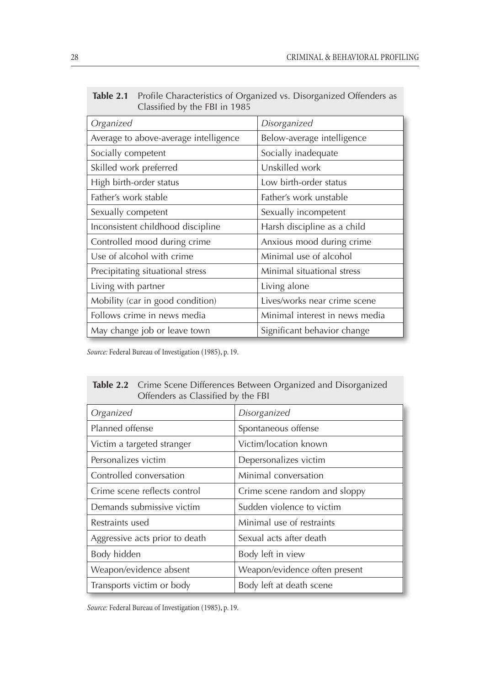| Crassified by the FDI $\mathbf{m}$ FSOS |                                |  |
|-----------------------------------------|--------------------------------|--|
| Organized                               | Disorganized                   |  |
| Average to above-average intelligence   | Below-average intelligence     |  |
| Socially competent                      | Socially inadequate            |  |
| Skilled work preferred                  | Unskilled work                 |  |
| High birth-order status                 | Low birth-order status         |  |
| Father's work stable                    | Father's work unstable         |  |
| Sexually competent                      | Sexually incompetent           |  |
| Inconsistent childhood discipline       | Harsh discipline as a child    |  |
| Controlled mood during crime            | Anxious mood during crime      |  |
| Use of alcohol with crime               | Minimal use of alcohol         |  |
| Precipitating situational stress        | Minimal situational stress     |  |
| Living with partner                     | Living alone                   |  |
| Mobility (car in good condition)        | Lives/works near crime scene   |  |
| Follows crime in news media             | Minimal interest in news media |  |
| May change job or leave town            | Significant behavior change    |  |

**Table 2.1** Profile Characteristics of Organized vs. Disorganized Offenders as Classified by the FBI in 1985

*Source:* Federal Bureau of Investigation (1985), p. 19.

| Offenders as Classified by the FBI |                               |  |
|------------------------------------|-------------------------------|--|
| Organized                          | Disorganized                  |  |
| Planned offense                    | Spontaneous offense           |  |
| Victim a targeted stranger         | Victim/location known         |  |
| Personalizes victim                | Depersonalizes victim         |  |
| Controlled conversation            | Minimal conversation          |  |
| Crime scene reflects control       | Crime scene random and sloppy |  |
| Demands submissive victim          | Sudden violence to victim     |  |
| Restraints used                    | Minimal use of restraints     |  |
| Aggressive acts prior to death     | Sexual acts after death       |  |
| Body hidden                        | Body left in view             |  |
| Weapon/evidence absent             | Weapon/evidence often present |  |
| Transports victim or body          | Body left at death scene      |  |

**Table 2.2** Crime Scene Differences Between Organized and Disorganized Offenders as Classified by the FBI

*Source:* Federal Bureau of Investigation (1985), p. 19.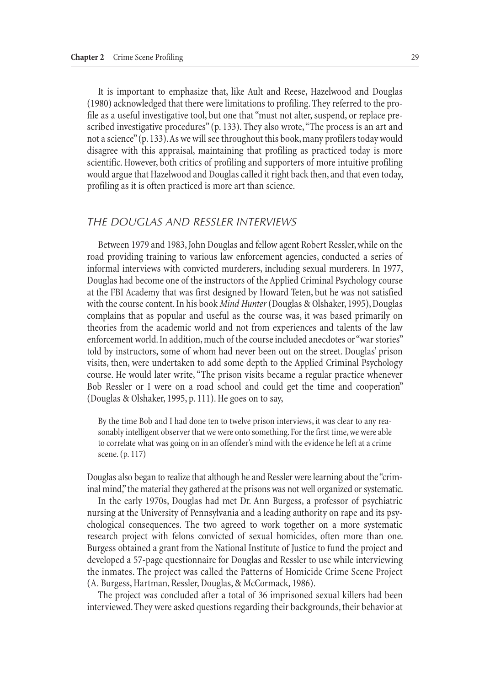It is important to emphasize that, like Ault and Reese, Hazelwood and Douglas (1980) acknowledged that there were limitations to profiling. They referred to the profile as a useful investigative tool, but one that "must not alter, suspend, or replace prescribed investigative procedures" (p. 133). They also wrote, "The process is an art and not a science" (p. 133). As we will see throughout this book, many profilers today would disagree with this appraisal, maintaining that profiling as practiced today is more scientific. However, both critics of profiling and supporters of more intuitive profiling would argue that Hazelwood and Douglas called it right back then, and that even today, profiling as it is often practiced is more art than science.

## *THE DOUGLAS AND RESSLER INTERVIEWS*

Between 1979 and 1983, John Douglas and fellow agent Robert Ressler, while on the road providing training to various law enforcement agencies, conducted a series of informal interviews with convicted murderers, including sexual murderers. In 1977, Douglas had become one of the instructors of the Applied Criminal Psychology course at the FBI Academy that was first designed by Howard Teten, but he was not satisfied with the course content. In his book *Mind Hunter* (Douglas & Olshaker, 1995), Douglas complains that as popular and useful as the course was, it was based primarily on theories from the academic world and not from experiences and talents of the law enforcement world. In addition, much of the course included anecdotes or "war stories" told by instructors, some of whom had never been out on the street. Douglas' prison visits, then, were undertaken to add some depth to the Applied Criminal Psychology course. He would later write, "The prison visits became a regular practice whenever Bob Ressler or I were on a road school and could get the time and cooperation" (Douglas & Olshaker, 1995, p. 111). He goes on to say,

By the time Bob and I had done ten to twelve prison interviews, it was clear to any reasonably intelligent observer that we were onto something. For the first time, we were able to correlate what was going on in an offender's mind with the evidence he left at a crime scene. (p. 117)

Douglas also began to realize that although he and Ressler were learning about the "criminal mind," the material they gathered at the prisons was not well organized or systematic.

In the early 1970s, Douglas had met Dr. Ann Burgess, a professor of psychiatric nursing at the University of Pennsylvania and a leading authority on rape and its psychological consequences. The two agreed to work together on a more systematic research project with felons convicted of sexual homicides, often more than one. Burgess obtained a grant from the National Institute of Justice to fund the project and developed a 57-page questionnaire for Douglas and Ressler to use while interviewing the inmates. The project was called the Patterns of Homicide Crime Scene Project (A. Burgess, Hartman, Ressler, Douglas, & McCormack, 1986).

The project was concluded after a total of 36 imprisoned sexual killers had been interviewed. They were asked questions regarding their backgrounds, their behavior at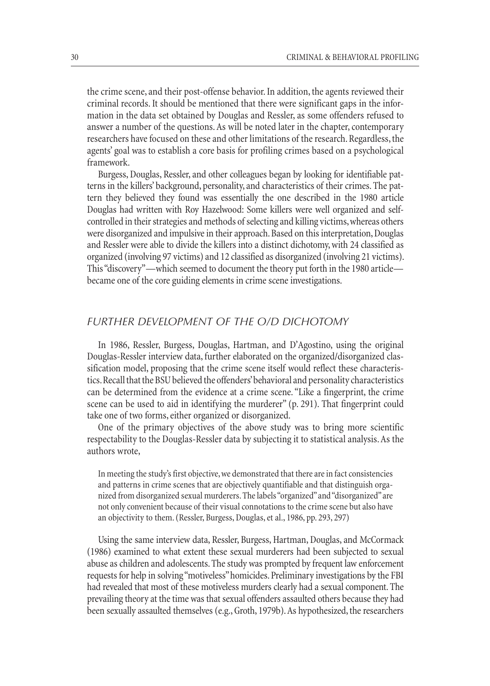the crime scene, and their post-offense behavior. In addition, the agents reviewed their criminal records. It should be mentioned that there were significant gaps in the information in the data set obtained by Douglas and Ressler, as some offenders refused to answer a number of the questions. As will be noted later in the chapter, contemporary researchers have focused on these and other limitations of the research. Regardless, the agents' goal was to establish a core basis for profiling crimes based on a psychological framework.

Burgess, Douglas, Ressler, and other colleagues began by looking for identifiable patterns in the killers' background, personality, and characteristics of their crimes. The pattern they believed they found was essentially the one described in the 1980 article Douglas had written with Roy Hazelwood: Some killers were well organized and selfcontrolled in their strategies and methods of selecting and killing victims, whereas others were disorganized and impulsive in their approach. Based on this interpretation, Douglas and Ressler were able to divide the killers into a distinct dichotomy, with 24 classified as organized (involving 97 victims) and 12 classified as disorganized (involving 21 victims). This "discovery"—which seemed to document the theory put forth in the 1980 article became one of the core guiding elements in crime scene investigations.

#### *FURTHER DEVELOPMENT OF THE O/D DICHOTOMY*

In 1986, Ressler, Burgess, Douglas, Hartman, and D'Agostino, using the original Douglas-Ressler interview data, further elaborated on the organized/disorganized classification model, proposing that the crime scene itself would reflect these characteristics. Recall that the BSU believed the offenders' behavioral and personality characteristics can be determined from the evidence at a crime scene. "Like a fingerprint, the crime scene can be used to aid in identifying the murderer" (p. 291). That fingerprint could take one of two forms, either organized or disorganized.

One of the primary objectives of the above study was to bring more scientific respectability to the Douglas-Ressler data by subjecting it to statistical analysis. As the authors wrote,

In meeting the study's first objective, we demonstrated that there are in fact consistencies and patterns in crime scenes that are objectively quantifiable and that distinguish organized from disorganized sexual murderers. The labels "organized" and "disorganized" are not only convenient because of their visual connotations to the crime scene but also have an objectivity to them. (Ressler, Burgess, Douglas, et al., 1986, pp. 293, 297)

Using the same interview data, Ressler, Burgess, Hartman, Douglas, and McCormack (1986) examined to what extent these sexual murderers had been subjected to sexual abuse as children and adolescents. The study was prompted by frequent law enforcement requests for help in solving "motiveless" homicides. Preliminary investigations by the FBI had revealed that most of these motiveless murders clearly had a sexual component. The prevailing theory at the time was that sexual offenders assaulted others because they had been sexually assaulted themselves (e.g., Groth, 1979b). As hypothesized, the researchers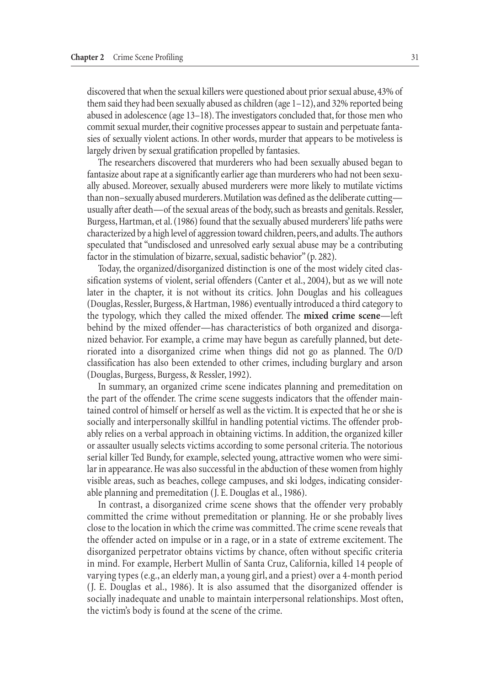discovered that when the sexual killers were questioned about prior sexual abuse, 43% of them said they had been sexually abused as children (age 1–12), and 32% reported being abused in adolescence (age 13–18). The investigators concluded that, for those men who commit sexual murder, their cognitive processes appear to sustain and perpetuate fantasies of sexually violent actions. In other words, murder that appears to be motiveless is largely driven by sexual gratification propelled by fantasies.

The researchers discovered that murderers who had been sexually abused began to fantasize about rape at a significantly earlier age than murderers who had not been sexually abused. Moreover, sexually abused murderers were more likely to mutilate victims than non–sexually abused murderers. Mutilation was defined as the deliberate cutting usually after death—of the sexual areas of the body, such as breasts and genitals. Ressler, Burgess, Hartman, et al. (1986) found that the sexually abused murderers' life paths were characterized by a high level of aggression toward children, peers, and adults. The authors speculated that "undisclosed and unresolved early sexual abuse may be a contributing factor in the stimulation of bizarre, sexual, sadistic behavior" (p. 282).

Today, the organized/disorganized distinction is one of the most widely cited classification systems of violent, serial offenders (Canter et al., 2004), but as we will note later in the chapter, it is not without its critics. John Douglas and his colleagues (Douglas, Ressler, Burgess, & Hartman, 1986) eventually introduced a third category to the typology, which they called the mixed offender. The **mixed crime scene**—left behind by the mixed offender—has characteristics of both organized and disorganized behavior. For example, a crime may have begun as carefully planned, but deteriorated into a disorganized crime when things did not go as planned. The O/D classification has also been extended to other crimes, including burglary and arson (Douglas, Burgess, Burgess, & Ressler, 1992).

In summary, an organized crime scene indicates planning and premeditation on the part of the offender. The crime scene suggests indicators that the offender maintained control of himself or herself as well as the victim. It is expected that he or she is socially and interpersonally skillful in handling potential victims. The offender probably relies on a verbal approach in obtaining victims. In addition, the organized killer or assaulter usually selects victims according to some personal criteria. The notorious serial killer Ted Bundy, for example, selected young, attractive women who were similar in appearance. He was also successful in the abduction of these women from highly visible areas, such as beaches, college campuses, and ski lodges, indicating considerable planning and premeditation (J. E. Douglas et al., 1986).

In contrast, a disorganized crime scene shows that the offender very probably committed the crime without premeditation or planning. He or she probably lives close to the location in which the crime was committed. The crime scene reveals that the offender acted on impulse or in a rage, or in a state of extreme excitement. The disorganized perpetrator obtains victims by chance, often without specific criteria in mind. For example, Herbert Mullin of Santa Cruz, California, killed 14 people of varying types (e.g., an elderly man, a young girl, and a priest) over a 4-month period (J. E. Douglas et al., 1986). It is also assumed that the disorganized offender is socially inadequate and unable to maintain interpersonal relationships. Most often, the victim's body is found at the scene of the crime.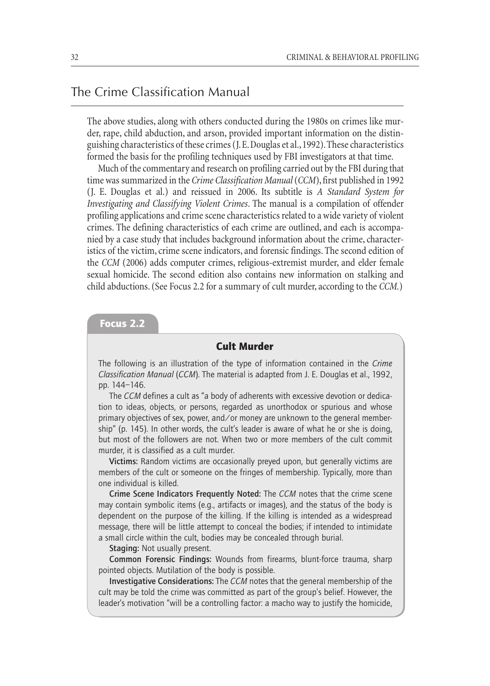## The Crime Classification Manual

The above studies, along with others conducted during the 1980s on crimes like murder, rape, child abduction, and arson, provided important information on the distinguishing characteristics of these crimes (J.E. Douglas et al., 1992). These characteristics formed the basis for the profiling techniques used by FBI investigators at that time.

Much of the commentary and research on profiling carried out by the FBI during that time was summarized in the *Crime Classification Manual* (*CCM*), first published in 1992 (J. E. Douglas et al.) and reissued in 2006. Its subtitle is *A Standard System for Investigating and Classifying Violent Crimes*. The manual is a compilation of offender profiling applications and crime scene characteristics related to a wide variety of violent crimes. The defining characteristics of each crime are outlined, and each is accompanied by a case study that includes background information about the crime, characteristics of the victim, crime scene indicators, and forensic findings. The second edition of the *CCM* (2006) adds computer crimes, religious-extremist murder, and elder female sexual homicide. The second edition also contains new information on stalking and child abductions. (See Focus 2.2 for a summary of cult murder, according to the *CCM.*)

#### Focus 2.2

#### Cult Murder

The following is an illustration of the type of information contained in the *Crime Classification Manual* (*CCM*). The material is adapted from J. E. Douglas et al., 1992, pp. 144–146.

The *CCM* defines a cult as "a body of adherents with excessive devotion or dedication to ideas, objects, or persons, regarded as unorthodox or spurious and whose primary objectives of sex, power, and/or money are unknown to the general membership" (p. 145). In other words, the cult's leader is aware of what he or she is doing, but most of the followers are not. When two or more members of the cult commit murder, it is classified as a cult murder.

Victims: Random victims are occasionally preyed upon, but generally victims are members of the cult or someone on the fringes of membership. Typically, more than one individual is killed.

Crime Scene Indicators Frequently Noted: The *CCM* notes that the crime scene may contain symbolic items (e.g., artifacts or images), and the status of the body is dependent on the purpose of the killing. If the killing is intended as a widespread message, there will be little attempt to conceal the bodies; if intended to intimidate a small circle within the cult, bodies may be concealed through burial.

Staging: Not usually present.

Common Forensic Findings: Wounds from firearms, blunt-force trauma, sharp pointed objects. Mutilation of the body is possible.

Investigative Considerations: The *CCM* notes that the general membership of the cult may be told the crime was committed as part of the group's belief. However, the leader's motivation "will be a controlling factor: a macho way to justify the homicide,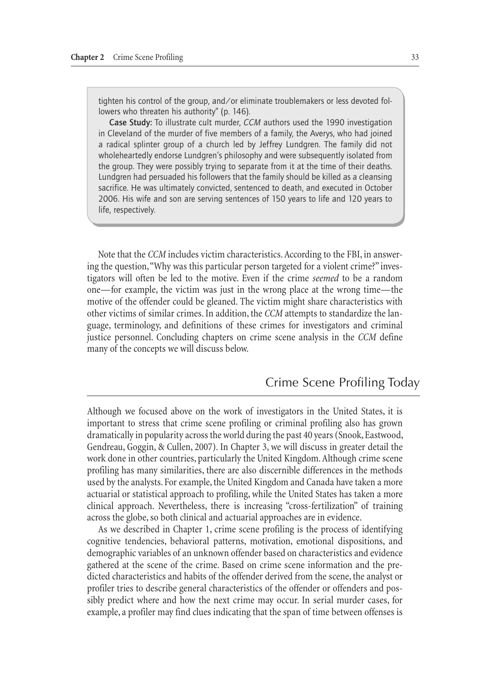tighten his control of the group, and/or eliminate troublemakers or less devoted followers who threaten his authority" (p. 146).

Case Study: To illustrate cult murder, *CCM* authors used the 1990 investigation in Cleveland of the murder of five members of a family, the Averys, who had joined a radical splinter group of a church led by Jeffrey Lundgren. The family did not wholeheartedly endorse Lundgren's philosophy and were subsequently isolated from the group. They were possibly trying to separate from it at the time of their deaths. Lundgren had persuaded his followers that the family should be killed as a cleansing sacrifice. He was ultimately convicted, sentenced to death, and executed in October 2006. His wife and son are serving sentences of 150 years to life and 120 years to life, respectively.

Note that the *CCM* includes victim characteristics. According to the FBI, in answering the question, "Why was this particular person targeted for a violent crime?" investigators will often be led to the motive. Even if the crime *seemed* to be a random one—for example, the victim was just in the wrong place at the wrong time—the motive of the offender could be gleaned. The victim might share characteristics with other victims of similar crimes. In addition, the *CCM* attempts to standardize the language, terminology, and definitions of these crimes for investigators and criminal justice personnel. Concluding chapters on crime scene analysis in the *CCM* define many of the concepts we will discuss below.

## Crime Scene Profiling Today

Although we focused above on the work of investigators in the United States, it is important to stress that crime scene profiling or criminal profiling also has grown dramatically in popularity across the world during the past 40 years (Snook, Eastwood, Gendreau, Goggin, & Cullen, 2007). In Chapter 3, we will discuss in greater detail the work done in other countries, particularly the United Kingdom. Although crime scene profiling has many similarities, there are also discernible differences in the methods used by the analysts. For example, the United Kingdom and Canada have taken a more actuarial or statistical approach to profiling, while the United States has taken a more clinical approach. Nevertheless, there is increasing "cross-fertilization" of training across the globe, so both clinical and actuarial approaches are in evidence.

As we described in Chapter 1, crime scene profiling is the process of identifying cognitive tendencies, behavioral patterns, motivation, emotional dispositions, and demographic variables of an unknown offender based on characteristics and evidence gathered at the scene of the crime. Based on crime scene information and the predicted characteristics and habits of the offender derived from the scene, the analyst or profiler tries to describe general characteristics of the offender or offenders and possibly predict where and how the next crime may occur. In serial murder cases, for example, a profiler may find clues indicating that the span of time between offenses is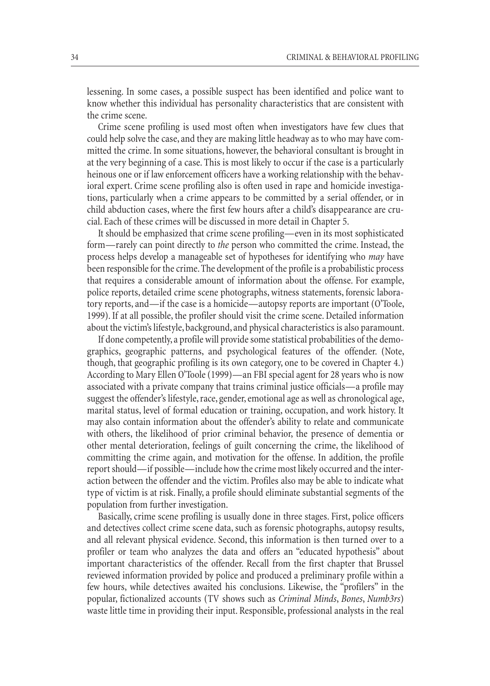lessening. In some cases, a possible suspect has been identified and police want to know whether this individual has personality characteristics that are consistent with the crime scene.

Crime scene profiling is used most often when investigators have few clues that could help solve the case, and they are making little headway as to who may have committed the crime. In some situations, however, the behavioral consultant is brought in at the very beginning of a case. This is most likely to occur if the case is a particularly heinous one or if law enforcement officers have a working relationship with the behavioral expert. Crime scene profiling also is often used in rape and homicide investigations, particularly when a crime appears to be committed by a serial offender, or in child abduction cases, where the first few hours after a child's disappearance are crucial. Each of these crimes will be discussed in more detail in Chapter 5.

It should be emphasized that crime scene profiling—even in its most sophisticated form—rarely can point directly to *the* person who committed the crime. Instead, the process helps develop a manageable set of hypotheses for identifying who *may* have been responsible for the crime. The development of the profile is a probabilistic process that requires a considerable amount of information about the offense. For example, police reports, detailed crime scene photographs, witness statements, forensic laboratory reports, and—if the case is a homicide—autopsy reports are important (O'Toole, 1999). If at all possible, the profiler should visit the crime scene. Detailed information about the victim's lifestyle, background, and physical characteristics is also paramount.

If done competently, a profile will provide some statistical probabilities of the demographics, geographic patterns, and psychological features of the offender. (Note, though, that geographic profiling is its own category, one to be covered in Chapter 4.) According to Mary Ellen O'Toole (1999)—an FBI special agent for 28 years who is now associated with a private company that trains criminal justice officials—a profile may suggest the offender's lifestyle, race, gender, emotional age as well as chronological age, marital status, level of formal education or training, occupation, and work history. It may also contain information about the offender's ability to relate and communicate with others, the likelihood of prior criminal behavior, the presence of dementia or other mental deterioration, feelings of guilt concerning the crime, the likelihood of committing the crime again, and motivation for the offense. In addition, the profile report should—if possible—include how the crime most likely occurred and the interaction between the offender and the victim. Profiles also may be able to indicate what type of victim is at risk. Finally, a profile should eliminate substantial segments of the population from further investigation.

Basically, crime scene profiling is usually done in three stages. First, police officers and detectives collect crime scene data, such as forensic photographs, autopsy results, and all relevant physical evidence. Second, this information is then turned over to a profiler or team who analyzes the data and offers an "educated hypothesis" about important characteristics of the offender. Recall from the first chapter that Brussel reviewed information provided by police and produced a preliminary profile within a few hours, while detectives awaited his conclusions. Likewise, the "profilers" in the popular, fictionalized accounts (TV shows such as *Criminal Minds*, *Bones*, *Numb3rs*) waste little time in providing their input. Responsible, professional analysts in the real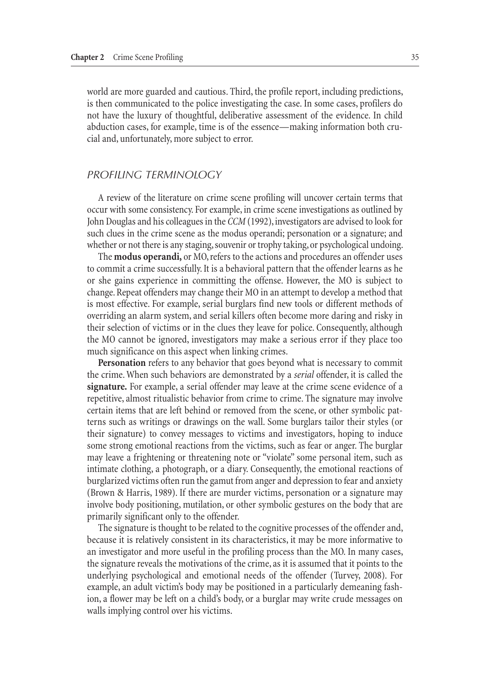world are more guarded and cautious. Third, the profile report, including predictions, is then communicated to the police investigating the case. In some cases, profilers do not have the luxury of thoughtful, deliberative assessment of the evidence. In child abduction cases, for example, time is of the essence—making information both crucial and, unfortunately, more subject to error.

#### *PROFILING TERMINOLOGY*

A review of the literature on crime scene profiling will uncover certain terms that occur with some consistency. For example, in crime scene investigations as outlined by John Douglas and his colleagues in the *CCM* (1992), investigators are advised to look for such clues in the crime scene as the modus operandi; personation or a signature; and whether or not there is any staging, souvenir or trophy taking, or psychological undoing.

The **modus operandi,** or MO, refers to the actions and procedures an offender uses to commit a crime successfully. It is a behavioral pattern that the offender learns as he or she gains experience in committing the offense. However, the MO is subject to change. Repeat offenders may change their MO in an attempt to develop a method that is most effective. For example, serial burglars find new tools or different methods of overriding an alarm system, and serial killers often become more daring and risky in their selection of victims or in the clues they leave for police. Consequently, although the MO cannot be ignored, investigators may make a serious error if they place too much significance on this aspect when linking crimes.

**Personation** refers to any behavior that goes beyond what is necessary to commit the crime. When such behaviors are demonstrated by a *serial* offender, it is called the **signature.** For example, a serial offender may leave at the crime scene evidence of a repetitive, almost ritualistic behavior from crime to crime. The signature may involve certain items that are left behind or removed from the scene, or other symbolic patterns such as writings or drawings on the wall. Some burglars tailor their styles (or their signature) to convey messages to victims and investigators, hoping to induce some strong emotional reactions from the victims, such as fear or anger. The burglar may leave a frightening or threatening note or "violate" some personal item, such as intimate clothing, a photograph, or a diary. Consequently, the emotional reactions of burglarized victims often run the gamut from anger and depression to fear and anxiety (Brown & Harris, 1989). If there are murder victims, personation or a signature may involve body positioning, mutilation, or other symbolic gestures on the body that are primarily significant only to the offender.

The signature is thought to be related to the cognitive processes of the offender and, because it is relatively consistent in its characteristics, it may be more informative to an investigator and more useful in the profiling process than the MO. In many cases, the signature reveals the motivations of the crime, as it is assumed that it points to the underlying psychological and emotional needs of the offender (Turvey, 2008). For example, an adult victim's body may be positioned in a particularly demeaning fashion, a flower may be left on a child's body, or a burglar may write crude messages on walls implying control over his victims.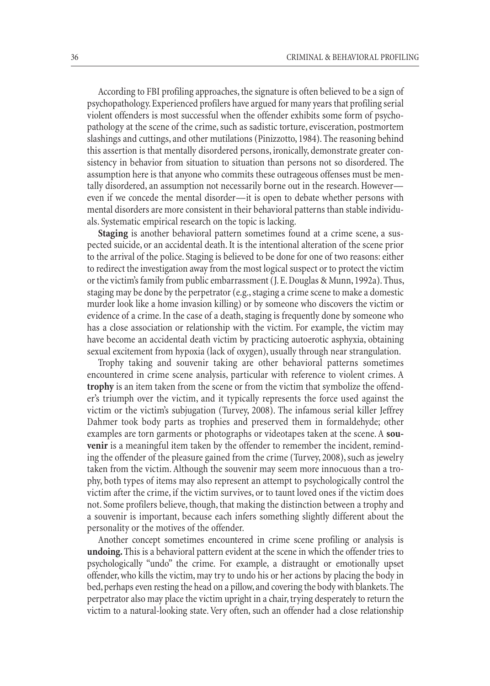According to FBI profiling approaches, the signature is often believed to be a sign of psychopathology. Experienced profilers have argued for many years that profiling serial violent offenders is most successful when the offender exhibits some form of psychopathology at the scene of the crime, such as sadistic torture, evisceration, postmortem slashings and cuttings, and other mutilations (Pinizzotto, 1984). The reasoning behind this assertion is that mentally disordered persons, ironically, demonstrate greater consistency in behavior from situation to situation than persons not so disordered. The assumption here is that anyone who commits these outrageous offenses must be mentally disordered, an assumption not necessarily borne out in the research. However even if we concede the mental disorder—it is open to debate whether persons with mental disorders are more consistent in their behavioral patterns than stable individuals. Systematic empirical research on the topic is lacking.

**Staging** is another behavioral pattern sometimes found at a crime scene, a suspected suicide, or an accidental death. It is the intentional alteration of the scene prior to the arrival of the police. Staging is believed to be done for one of two reasons: either to redirect the investigation away from the most logical suspect or to protect the victim or the victim's family from public embarrassment (J.E. Douglas & Munn, 1992a). Thus, staging may be done by the perpetrator (e.g., staging a crime scene to make a domestic murder look like a home invasion killing) or by someone who discovers the victim or evidence of a crime. In the case of a death, staging is frequently done by someone who has a close association or relationship with the victim. For example, the victim may have become an accidental death victim by practicing autoerotic asphyxia, obtaining sexual excitement from hypoxia (lack of oxygen), usually through near strangulation.

Trophy taking and souvenir taking are other behavioral patterns sometimes encountered in crime scene analysis, particular with reference to violent crimes. A **trophy** is an item taken from the scene or from the victim that symbolize the offender's triumph over the victim, and it typically represents the force used against the victim or the victim's subjugation (Turvey, 2008). The infamous serial killer Jeffrey Dahmer took body parts as trophies and preserved them in formaldehyde; other examples are torn garments or photographs or videotapes taken at the scene. A **souvenir** is a meaningful item taken by the offender to remember the incident, reminding the offender of the pleasure gained from the crime (Turvey, 2008), such as jewelry taken from the victim. Although the souvenir may seem more innocuous than a trophy, both types of items may also represent an attempt to psychologically control the victim after the crime, if the victim survives, or to taunt loved ones if the victim does not. Some profilers believe, though, that making the distinction between a trophy and a souvenir is important, because each infers something slightly different about the personality or the motives of the offender.

Another concept sometimes encountered in crime scene profiling or analysis is **undoing.** This is a behavioral pattern evident at the scene in which the offender tries to psychologically "undo" the crime. For example, a distraught or emotionally upset offender, who kills the victim, may try to undo his or her actions by placing the body in bed, perhaps even resting the head on a pillow, and covering the body with blankets. The perpetrator also may place the victim upright in a chair, trying desperately to return the victim to a natural-looking state. Very often, such an offender had a close relationship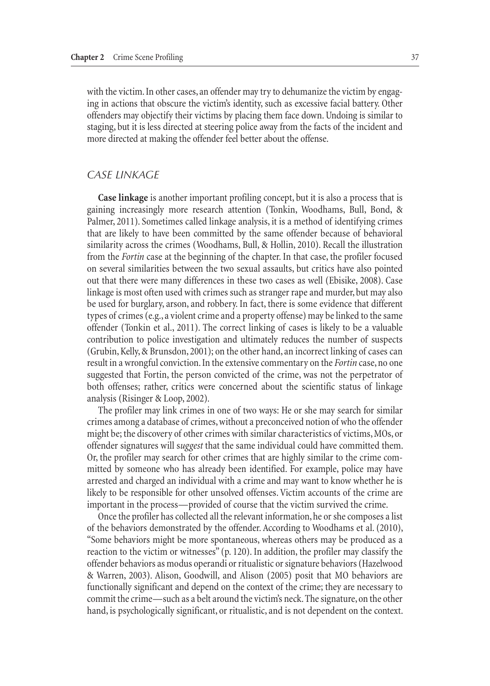with the victim. In other cases, an offender may try to dehumanize the victim by engaging in actions that obscure the victim's identity, such as excessive facial battery. Other offenders may objectify their victims by placing them face down. Undoing is similar to staging, but it is less directed at steering police away from the facts of the incident and more directed at making the offender feel better about the offense.

#### *CASE LINKAGE*

**Case linkage** is another important profiling concept, but it is also a process that is gaining increasingly more research attention (Tonkin, Woodhams, Bull, Bond, & Palmer, 2011). Sometimes called linkage analysis, it is a method of identifying crimes that are likely to have been committed by the same offender because of behavioral similarity across the crimes (Woodhams, Bull, & Hollin, 2010). Recall the illustration from the *Fortin* case at the beginning of the chapter. In that case, the profiler focused on several similarities between the two sexual assaults, but critics have also pointed out that there were many differences in these two cases as well (Ebisike, 2008). Case linkage is most often used with crimes such as stranger rape and murder, but may also be used for burglary, arson, and robbery. In fact, there is some evidence that different types of crimes (e.g., a violent crime and a property offense) may be linked to the same offender (Tonkin et al., 2011). The correct linking of cases is likely to be a valuable contribution to police investigation and ultimately reduces the number of suspects (Grubin, Kelly, & Brunsdon, 2001); on the other hand, an incorrect linking of cases can result in a wrongful conviction. In the extensive commentary on the *Fortin* case, no one suggested that Fortin, the person convicted of the crime, was not the perpetrator of both offenses; rather, critics were concerned about the scientific status of linkage analysis (Risinger & Loop, 2002).

The profiler may link crimes in one of two ways: He or she may search for similar crimes among a database of crimes, without a preconceived notion of who the offender might be; the discovery of other crimes with similar characteristics of victims, MOs, or offender signatures will s*uggest* that the same individual could have committed them. Or, the profiler may search for other crimes that are highly similar to the crime committed by someone who has already been identified. For example, police may have arrested and charged an individual with a crime and may want to know whether he is likely to be responsible for other unsolved offenses. Victim accounts of the crime are important in the process—provided of course that the victim survived the crime.

Once the profiler has collected all the relevant information, he or she composes a list of the behaviors demonstrated by the offender. According to Woodhams et al. (2010), "Some behaviors might be more spontaneous, whereas others may be produced as a reaction to the victim or witnesses" (p. 120). In addition, the profiler may classify the offender behaviors as modus operandi or ritualistic or signature behaviors (Hazelwood & Warren, 2003). Alison, Goodwill, and Alison (2005) posit that MO behaviors are functionally significant and depend on the context of the crime; they are necessary to commit the crime—such as a belt around the victim's neck. The signature, on the other hand, is psychologically significant, or ritualistic, and is not dependent on the context.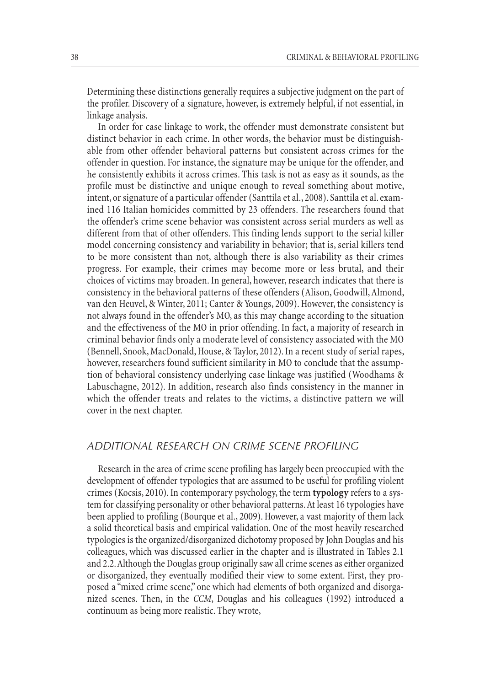Determining these distinctions generally requires a subjective judgment on the part of the profiler. Discovery of a signature, however, is extremely helpful, if not essential, in linkage analysis.

In order for case linkage to work, the offender must demonstrate consistent but distinct behavior in each crime. In other words, the behavior must be distinguishable from other offender behavioral patterns but consistent across crimes for the offender in question. For instance, the signature may be unique for the offender, and he consistently exhibits it across crimes. This task is not as easy as it sounds, as the profile must be distinctive and unique enough to reveal something about motive, intent, or signature of a particular offender (Santtila et al., 2008). Santtila et al. examined 116 Italian homicides committed by 23 offenders. The researchers found that the offender's crime scene behavior was consistent across serial murders as well as different from that of other offenders. This finding lends support to the serial killer model concerning consistency and variability in behavior; that is, serial killers tend to be more consistent than not, although there is also variability as their crimes progress. For example, their crimes may become more or less brutal, and their choices of victims may broaden. In general, however, research indicates that there is consistency in the behavioral patterns of these offenders (Alison, Goodwill, Almond, van den Heuvel, & Winter, 2011; Canter & Youngs, 2009). However, the consistency is not always found in the offender's MO, as this may change according to the situation and the effectiveness of the MO in prior offending. In fact, a majority of research in criminal behavior finds only a moderate level of consistency associated with the MO (Bennell, Snook, MacDonald, House, & Taylor, 2012). In a recent study of serial rapes, however, researchers found sufficient similarity in MO to conclude that the assumption of behavioral consistency underlying case linkage was justified (Woodhams & Labuschagne, 2012). In addition, research also finds consistency in the manner in which the offender treats and relates to the victims, a distinctive pattern we will cover in the next chapter.

#### *ADDITIONAL RESEARCH ON CRIME SCENE PROFILING*

Research in the area of crime scene profiling has largely been preoccupied with the development of offender typologies that are assumed to be useful for profiling violent crimes (Kocsis, 2010). In contemporary psychology, the term **typology** refers to a system for classifying personality or other behavioral patterns. At least 16 typologies have been applied to profiling (Bourque et al., 2009). However, a vast majority of them lack a solid theoretical basis and empirical validation. One of the most heavily researched typologies is the organized/disorganized dichotomy proposed by John Douglas and his colleagues, which was discussed earlier in the chapter and is illustrated in Tables 2.1 and 2.2. Although the Douglas group originally saw all crime scenes as either organized or disorganized, they eventually modified their view to some extent. First, they proposed a "mixed crime scene," one which had elements of both organized and disorganized scenes. Then, in the *CCM*, Douglas and his colleagues (1992) introduced a continuum as being more realistic. They wrote,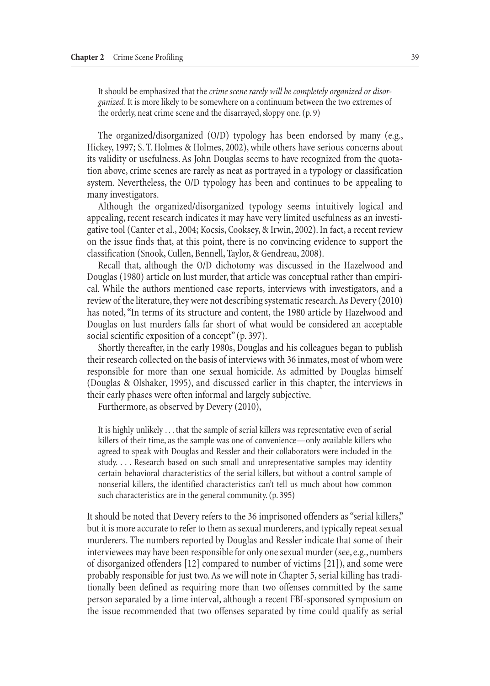It should be emphasized that the *crime scene rarely will be completely organized or disorganized.* It is more likely to be somewhere on a continuum between the two extremes of the orderly, neat crime scene and the disarrayed, sloppy one. (p. 9)

The organized/disorganized (O/D) typology has been endorsed by many (e.g., Hickey, 1997; S. T. Holmes & Holmes, 2002), while others have serious concerns about its validity or usefulness. As John Douglas seems to have recognized from the quotation above, crime scenes are rarely as neat as portrayed in a typology or classification system. Nevertheless, the O/D typology has been and continues to be appealing to many investigators.

Although the organized/disorganized typology seems intuitively logical and appealing, recent research indicates it may have very limited usefulness as an investigative tool (Canter et al., 2004; Kocsis, Cooksey, & Irwin, 2002). In fact, a recent review on the issue finds that, at this point, there is no convincing evidence to support the classification (Snook, Cullen, Bennell, Taylor, & Gendreau, 2008).

Recall that, although the O/D dichotomy was discussed in the Hazelwood and Douglas (1980) article on lust murder, that article was conceptual rather than empirical. While the authors mentioned case reports, interviews with investigators, and a review of the literature, they were not describing systematic research. As Devery (2010) has noted, "In terms of its structure and content, the 1980 article by Hazelwood and Douglas on lust murders falls far short of what would be considered an acceptable social scientific exposition of a concept" (p. 397).

Shortly thereafter, in the early 1980s, Douglas and his colleagues began to publish their research collected on the basis of interviews with 36 inmates, most of whom were responsible for more than one sexual homicide. As admitted by Douglas himself (Douglas & Olshaker, 1995), and discussed earlier in this chapter, the interviews in their early phases were often informal and largely subjective.

Furthermore, as observed by Devery (2010),

It is highly unlikely . . . that the sample of serial killers was representative even of serial killers of their time, as the sample was one of convenience—only available killers who agreed to speak with Douglas and Ressler and their collaborators were included in the study. . . . Research based on such small and unrepresentative samples may identity certain behavioral characteristics of the serial killers, but without a control sample of nonserial killers, the identified characteristics can't tell us much about how common such characteristics are in the general community. (p. 395)

It should be noted that Devery refers to the 36 imprisoned offenders as "serial killers," but it is more accurate to refer to them as sexual murderers, and typically repeat sexual murderers. The numbers reported by Douglas and Ressler indicate that some of their interviewees may have been responsible for only one sexual murder (see, e.g., numbers of disorganized offenders [12] compared to number of victims [21]), and some were probably responsible for just two. As we will note in Chapter 5, serial killing has traditionally been defined as requiring more than two offenses committed by the same person separated by a time interval, although a recent FBI-sponsored symposium on the issue recommended that two offenses separated by time could qualify as serial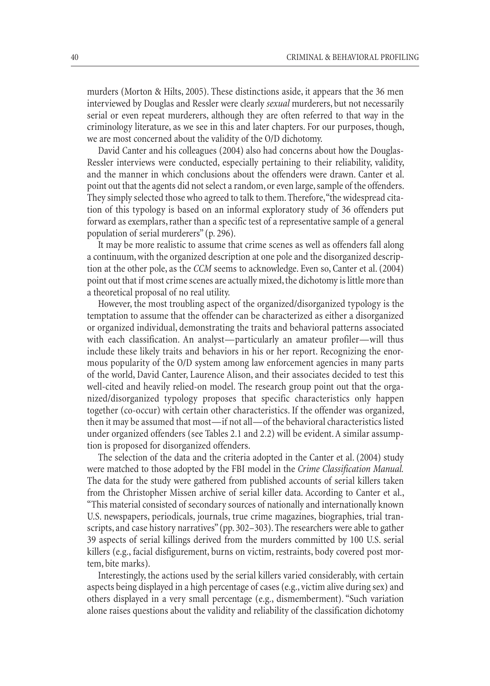murders (Morton & Hilts, 2005). These distinctions aside, it appears that the 36 men interviewed by Douglas and Ressler were clearly *sexual* murderers, but not necessarily serial or even repeat murderers, although they are often referred to that way in the criminology literature, as we see in this and later chapters. For our purposes, though, we are most concerned about the validity of the O/D dichotomy.

David Canter and his colleagues (2004) also had concerns about how the Douglas-Ressler interviews were conducted, especially pertaining to their reliability, validity, and the manner in which conclusions about the offenders were drawn. Canter et al. point out that the agents did not select a random, or even large, sample of the offenders. They simply selected those who agreed to talk to them. Therefore, "the widespread citation of this typology is based on an informal exploratory study of 36 offenders put forward as exemplars, rather than a specific test of a representative sample of a general population of serial murderers" (p. 296).

It may be more realistic to assume that crime scenes as well as offenders fall along a continuum, with the organized description at one pole and the disorganized description at the other pole, as the *CCM* seems to acknowledge. Even so, Canter et al. (2004) point out that if most crime scenes are actually mixed, the dichotomy is little more than a theoretical proposal of no real utility.

However, the most troubling aspect of the organized/disorganized typology is the temptation to assume that the offender can be characterized as either a disorganized or organized individual, demonstrating the traits and behavioral patterns associated with each classification. An analyst—particularly an amateur profiler—will thus include these likely traits and behaviors in his or her report. Recognizing the enormous popularity of the O/D system among law enforcement agencies in many parts of the world, David Canter, Laurence Alison, and their associates decided to test this well-cited and heavily relied-on model. The research group point out that the organized/disorganized typology proposes that specific characteristics only happen together (co-occur) with certain other characteristics. If the offender was organized, then it may be assumed that most—if not all—of the behavioral characteristics listed under organized offenders (see Tables 2.1 and 2.2) will be evident. A similar assumption is proposed for disorganized offenders.

The selection of the data and the criteria adopted in the Canter et al. (2004) study were matched to those adopted by the FBI model in the *Crime Classification Manual.* The data for the study were gathered from published accounts of serial killers taken from the Christopher Missen archive of serial killer data. According to Canter et al., "This material consisted of secondary sources of nationally and internationally known U.S. newspapers, periodicals, journals, true crime magazines, biographies, trial transcripts, and case history narratives" (pp. 302–303). The researchers were able to gather 39 aspects of serial killings derived from the murders committed by 100 U.S. serial killers (e.g., facial disfigurement, burns on victim, restraints, body covered post mortem, bite marks).

Interestingly, the actions used by the serial killers varied considerably, with certain aspects being displayed in a high percentage of cases (e.g., victim alive during sex) and others displayed in a very small percentage (e.g., dismemberment). "Such variation alone raises questions about the validity and reliability of the classification dichotomy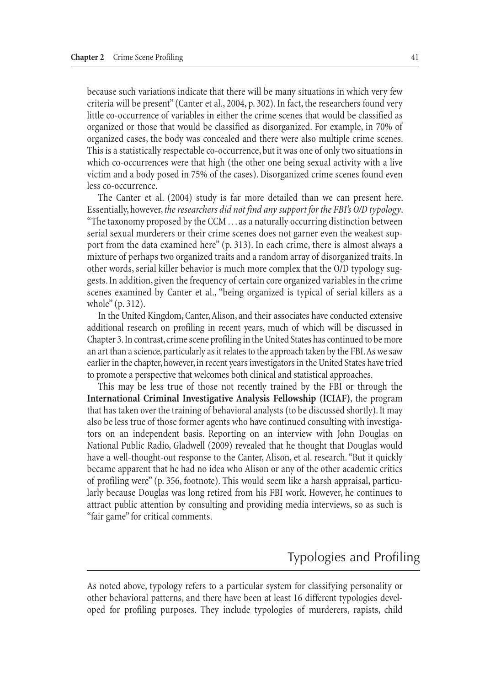because such variations indicate that there will be many situations in which very few criteria will be present" (Canter et al., 2004, p. 302). In fact, the researchers found very little co-occurrence of variables in either the crime scenes that would be classified as organized or those that would be classified as disorganized. For example, in 70% of organized cases, the body was concealed and there were also multiple crime scenes. This is a statistically respectable co-occurrence, but it was one of only two situations in which co-occurrences were that high (the other one being sexual activity with a live victim and a body posed in 75% of the cases). Disorganized crime scenes found even less co-occurrence.

The Canter et al. (2004) study is far more detailed than we can present here. Essentially, however, *the researchers did not find any support for the FBI's O/D typology*. "The taxonomy proposed by the CCM . . . as a naturally occurring distinction between serial sexual murderers or their crime scenes does not garner even the weakest support from the data examined here" (p. 313). In each crime, there is almost always a mixture of perhaps two organized traits and a random array of disorganized traits. In other words, serial killer behavior is much more complex that the O/D typology suggests. In addition, given the frequency of certain core organized variables in the crime scenes examined by Canter et al., "being organized is typical of serial killers as a whole" (p. 312).

In the United Kingdom, Canter, Alison, and their associates have conducted extensive additional research on profiling in recent years, much of which will be discussed in Chapter 3. In contrast, crime scene profiling in the United States has continued to be more an art than a science, particularly as it relates to the approach taken by the FBI. As we saw earlier in the chapter, however, in recent years investigators in the United States have tried to promote a perspective that welcomes both clinical and statistical approaches.

This may be less true of those not recently trained by the FBI or through the **International Criminal Investigative Analysis Fellowship (ICIAF)**, the program that has taken over the training of behavioral analysts (to be discussed shortly). It may also be less true of those former agents who have continued consulting with investigators on an independent basis. Reporting on an interview with John Douglas on National Public Radio, Gladwell (2009) revealed that he thought that Douglas would have a well-thought-out response to the Canter, Alison, et al. research. "But it quickly became apparent that he had no idea who Alison or any of the other academic critics of profiling were" (p. 356, footnote). This would seem like a harsh appraisal, particularly because Douglas was long retired from his FBI work. However, he continues to attract public attention by consulting and providing media interviews, so as such is "fair game" for critical comments.

# Typologies and Profiling

As noted above, typology refers to a particular system for classifying personality or other behavioral patterns, and there have been at least 16 different typologies developed for profiling purposes. They include typologies of murderers, rapists, child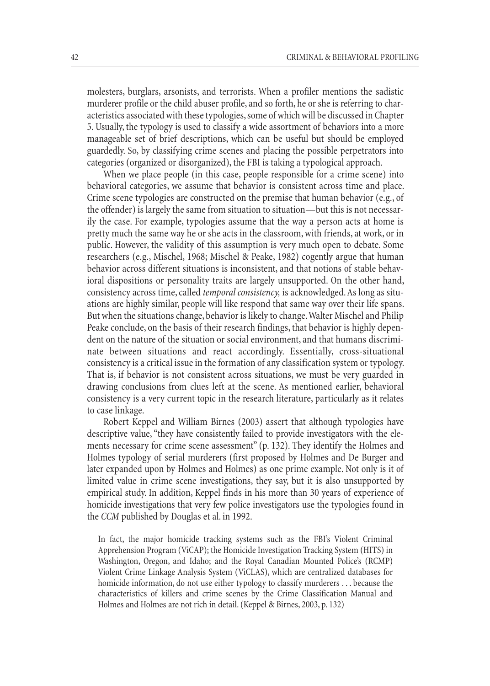molesters, burglars, arsonists, and terrorists. When a profiler mentions the sadistic murderer profile or the child abuser profile, and so forth, he or she is referring to characteristics associated with these typologies, some of which will be discussed in Chapter 5. Usually, the typology is used to classify a wide assortment of behaviors into a more manageable set of brief descriptions, which can be useful but should be employed guardedly. So, by classifying crime scenes and placing the possible perpetrators into categories (organized or disorganized), the FBI is taking a typological approach.

When we place people (in this case, people responsible for a crime scene) into behavioral categories, we assume that behavior is consistent across time and place. Crime scene typologies are constructed on the premise that human behavior (e.g., of the offender) is largely the same from situation to situation—but this is not necessarily the case. For example, typologies assume that the way a person acts at home is pretty much the same way he or she acts in the classroom, with friends, at work, or in public. However, the validity of this assumption is very much open to debate. Some researchers (e.g., Mischel, 1968; Mischel & Peake, 1982) cogently argue that human behavior across different situations is inconsistent, and that notions of stable behavioral dispositions or personality traits are largely unsupported. On the other hand, consistency across time, called *temporal consistency,* is acknowledged. As long as situations are highly similar, people will like respond that same way over their life spans. But when the situations change, behavior is likely to change. Walter Mischel and Philip Peake conclude, on the basis of their research findings, that behavior is highly dependent on the nature of the situation or social environment, and that humans discriminate between situations and react accordingly. Essentially, cross-situational consistency is a critical issue in the formation of any classification system or typology. That is, if behavior is not consistent across situations, we must be very guarded in drawing conclusions from clues left at the scene. As mentioned earlier, behavioral consistency is a very current topic in the research literature, particularly as it relates to case linkage.

Robert Keppel and William Birnes (2003) assert that although typologies have descriptive value, "they have consistently failed to provide investigators with the elements necessary for crime scene assessment" (p. 132). They identify the Holmes and Holmes typology of serial murderers (first proposed by Holmes and De Burger and later expanded upon by Holmes and Holmes) as one prime example. Not only is it of limited value in crime scene investigations, they say, but it is also unsupported by empirical study. In addition, Keppel finds in his more than 30 years of experience of homicide investigations that very few police investigators use the typologies found in the *CCM* published by Douglas et al. in 1992.

In fact, the major homicide tracking systems such as the FBI's Violent Criminal Apprehension Program (ViCAP); the Homicide Investigation Tracking System (HITS) in Washington, Oregon, and Idaho; and the Royal Canadian Mounted Police's (RCMP) Violent Crime Linkage Analysis System (ViCLAS), which are centralized databases for homicide information, do not use either typology to classify murderers . . . because the characteristics of killers and crime scenes by the Crime Classification Manual and Holmes and Holmes are not rich in detail. (Keppel & Birnes, 2003, p. 132)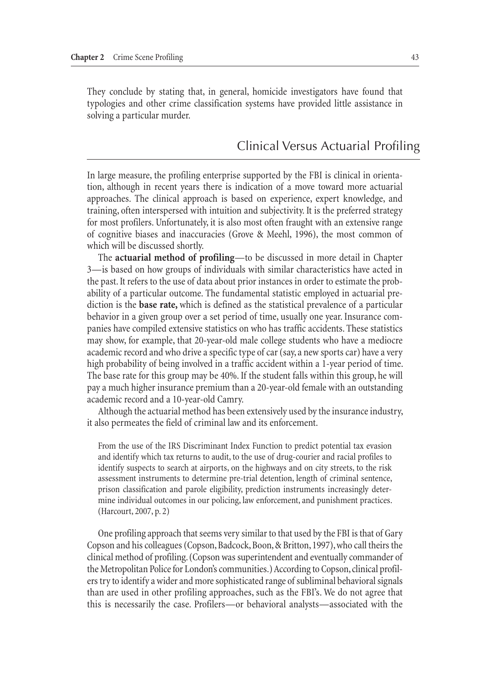They conclude by stating that, in general, homicide investigators have found that typologies and other crime classification systems have provided little assistance in solving a particular murder.

## Clinical Versus Actuarial Profiling

In large measure, the profiling enterprise supported by the FBI is clinical in orientation, although in recent years there is indication of a move toward more actuarial approaches. The clinical approach is based on experience, expert knowledge, and training, often interspersed with intuition and subjectivity. It is the preferred strategy for most profilers. Unfortunately, it is also most often fraught with an extensive range of cognitive biases and inaccuracies (Grove & Meehl, 1996), the most common of which will be discussed shortly.

The **actuarial method of profiling**—to be discussed in more detail in Chapter 3—is based on how groups of individuals with similar characteristics have acted in the past. It refers to the use of data about prior instances in order to estimate the probability of a particular outcome. The fundamental statistic employed in actuarial prediction is the **base rate,** which is defined as the statistical prevalence of a particular behavior in a given group over a set period of time, usually one year. Insurance companies have compiled extensive statistics on who has traffic accidents. These statistics may show, for example, that 20-year-old male college students who have a mediocre academic record and who drive a specific type of car (say, a new sports car) have a very high probability of being involved in a traffic accident within a 1-year period of time. The base rate for this group may be 40%. If the student falls within this group, he will pay a much higher insurance premium than a 20-year-old female with an outstanding academic record and a 10-year-old Camry.

Although the actuarial method has been extensively used by the insurance industry, it also permeates the field of criminal law and its enforcement.

From the use of the IRS Discriminant Index Function to predict potential tax evasion and identify which tax returns to audit, to the use of drug-courier and racial profiles to identify suspects to search at airports, on the highways and on city streets, to the risk assessment instruments to determine pre-trial detention, length of criminal sentence, prison classification and parole eligibility, prediction instruments increasingly determine individual outcomes in our policing, law enforcement, and punishment practices. (Harcourt, 2007, p. 2)

One profiling approach that seems very similar to that used by the FBI is that of Gary Copson and his colleagues (Copson, Badcock, Boon, & Britton, 1997), who call theirs the clinical method of profiling. (Copson was superintendent and eventually commander of the Metropolitan Police for London's communities.) According to Copson, clinical profilers try to identify a wider and more sophisticated range of subliminal behavioral signals than are used in other profiling approaches, such as the FBI's. We do not agree that this is necessarily the case. Profilers—or behavioral analysts—associated with the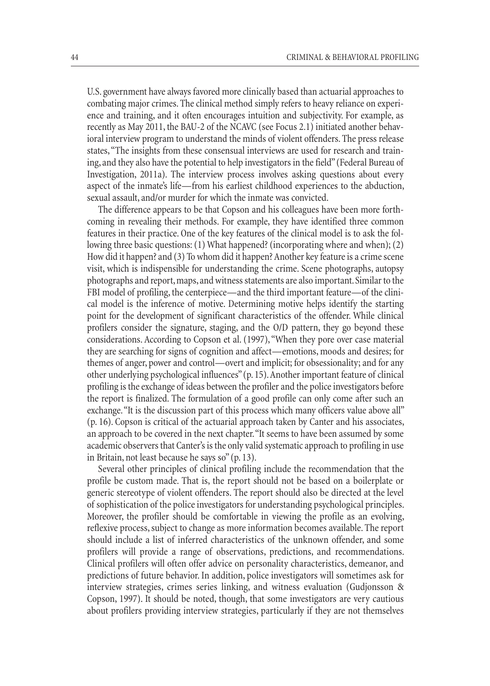U.S. government have always favored more clinically based than actuarial approaches to combating major crimes. The clinical method simply refers to heavy reliance on experience and training, and it often encourages intuition and subjectivity. For example, as recently as May 2011, the BAU-2 of the NCAVC (see Focus 2.1) initiated another behavioral interview program to understand the minds of violent offenders. The press release states, "The insights from these consensual interviews are used for research and training, and they also have the potential to help investigators in the field" (Federal Bureau of Investigation, 2011a). The interview process involves asking questions about every aspect of the inmate's life—from his earliest childhood experiences to the abduction, sexual assault, and/or murder for which the inmate was convicted.

The difference appears to be that Copson and his colleagues have been more forthcoming in revealing their methods. For example, they have identified three common features in their practice. One of the key features of the clinical model is to ask the following three basic questions: (1) What happened? (incorporating where and when); (2) How did it happen? and (3) To whom did it happen? Another key feature is a crime scene visit, which is indispensible for understanding the crime. Scene photographs, autopsy photographs and report, maps, and witness statements are also important. Similar to the FBI model of profiling, the centerpiece—and the third important feature—of the clinical model is the inference of motive. Determining motive helps identify the starting point for the development of significant characteristics of the offender. While clinical profilers consider the signature, staging, and the O/D pattern, they go beyond these considerations. According to Copson et al. (1997), "When they pore over case material they are searching for signs of cognition and affect—emotions, moods and desires; for themes of anger, power and control—overt and implicit; for obsessionality; and for any other underlying psychological influences" (p. 15). Another important feature of clinical profiling is the exchange of ideas between the profiler and the police investigators before the report is finalized. The formulation of a good profile can only come after such an exchange. "It is the discussion part of this process which many officers value above all" (p. 16). Copson is critical of the actuarial approach taken by Canter and his associates, an approach to be covered in the next chapter. "It seems to have been assumed by some academic observers that Canter's is the only valid systematic approach to profiling in use in Britain, not least because he says so" (p. 13).

Several other principles of clinical profiling include the recommendation that the profile be custom made. That is, the report should not be based on a boilerplate or generic stereotype of violent offenders. The report should also be directed at the level of sophistication of the police investigators for understanding psychological principles. Moreover, the profiler should be comfortable in viewing the profile as an evolving, reflexive process, subject to change as more information becomes available. The report should include a list of inferred characteristics of the unknown offender, and some profilers will provide a range of observations, predictions, and recommendations. Clinical profilers will often offer advice on personality characteristics, demeanor, and predictions of future behavior. In addition, police investigators will sometimes ask for interview strategies, crimes series linking, and witness evaluation (Gudjonsson & Copson, 1997). It should be noted, though, that some investigators are very cautious about profilers providing interview strategies, particularly if they are not themselves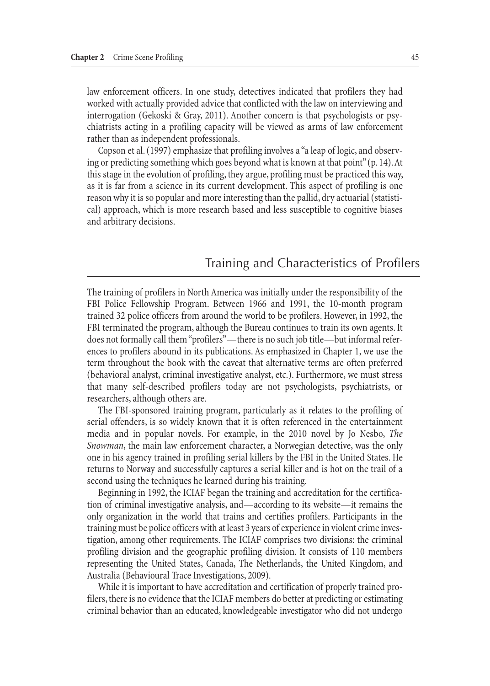law enforcement officers. In one study, detectives indicated that profilers they had worked with actually provided advice that conflicted with the law on interviewing and interrogation (Gekoski & Gray, 2011). Another concern is that psychologists or psychiatrists acting in a profiling capacity will be viewed as arms of law enforcement rather than as independent professionals.

Copson et al. (1997) emphasize that profiling involves a "a leap of logic, and observing or predicting something which goes beyond what is known at that point" (p. 14). At this stage in the evolution of profiling, they argue, profiling must be practiced this way, as it is far from a science in its current development. This aspect of profiling is one reason why it is so popular and more interesting than the pallid, dry actuarial (statistical) approach, which is more research based and less susceptible to cognitive biases and arbitrary decisions.

# Training and Characteristics of Profilers

The training of profilers in North America was initially under the responsibility of the FBI Police Fellowship Program. Between 1966 and 1991, the 10-month program trained 32 police officers from around the world to be profilers. However, in 1992, the FBI terminated the program, although the Bureau continues to train its own agents. It does not formally call them "profilers"—there is no such job title—but informal references to profilers abound in its publications. As emphasized in Chapter 1, we use the term throughout the book with the caveat that alternative terms are often preferred (behavioral analyst, criminal investigative analyst, etc.). Furthermore, we must stress that many self-described profilers today are not psychologists, psychiatrists, or researchers, although others are.

The FBI-sponsored training program, particularly as it relates to the profiling of serial offenders, is so widely known that it is often referenced in the entertainment media and in popular novels. For example, in the 2010 novel by Jo Nesbo, *The Snowman*, the main law enforcement character, a Norwegian detective, was the only one in his agency trained in profiling serial killers by the FBI in the United States. He returns to Norway and successfully captures a serial killer and is hot on the trail of a second using the techniques he learned during his training.

Beginning in 1992, the ICIAF began the training and accreditation for the certification of criminal investigative analysis, and—according to its website—it remains the only organization in the world that trains and certifies profilers. Participants in the training must be police officers with at least 3 years of experience in violent crime investigation, among other requirements. The ICIAF comprises two divisions: the criminal profiling division and the geographic profiling division. It consists of 110 members representing the United States, Canada, The Netherlands, the United Kingdom, and Australia (Behavioural Trace Investigations, 2009).

While it is important to have accreditation and certification of properly trained profilers, there is no evidence that the ICIAF members do better at predicting or estimating criminal behavior than an educated, knowledgeable investigator who did not undergo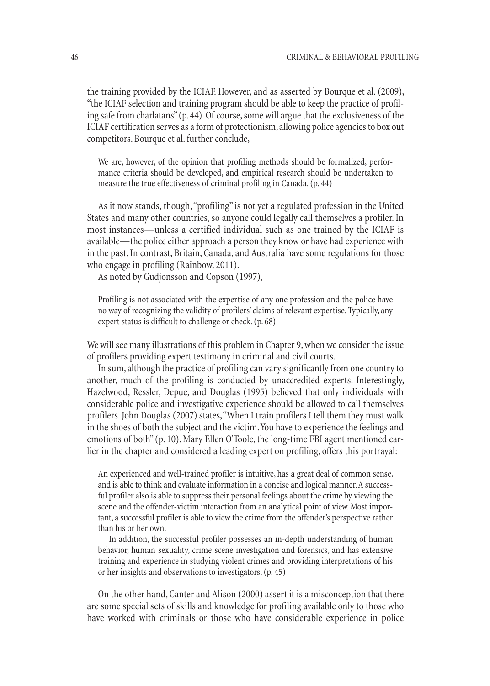the training provided by the ICIAF. However, and as asserted by Bourque et al. (2009), "the ICIAF selection and training program should be able to keep the practice of profiling safe from charlatans" (p. 44). Of course, some will argue that the exclusiveness of the ICIAF certification serves as a form of protectionism, allowing police agencies to box out competitors. Bourque et al. further conclude,

We are, however, of the opinion that profiling methods should be formalized, performance criteria should be developed, and empirical research should be undertaken to measure the true effectiveness of criminal profiling in Canada. (p. 44)

As it now stands, though, "profiling" is not yet a regulated profession in the United States and many other countries, so anyone could legally call themselves a profiler. In most instances—unless a certified individual such as one trained by the ICIAF is available—the police either approach a person they know or have had experience with in the past. In contrast, Britain, Canada, and Australia have some regulations for those who engage in profiling (Rainbow, 2011).

As noted by Gudjonsson and Copson (1997),

Profiling is not associated with the expertise of any one profession and the police have no way of recognizing the validity of profilers' claims of relevant expertise. Typically, any expert status is difficult to challenge or check. (p. 68)

We will see many illustrations of this problem in Chapter 9, when we consider the issue of profilers providing expert testimony in criminal and civil courts.

In sum, although the practice of profiling can vary significantly from one country to another, much of the profiling is conducted by unaccredited experts. Interestingly, Hazelwood, Ressler, Depue, and Douglas (1995) believed that only individuals with considerable police and investigative experience should be allowed to call themselves profilers. John Douglas (2007) states, "When I train profilers I tell them they must walk in the shoes of both the subject and the victim. You have to experience the feelings and emotions of both" (p. 10). Mary Ellen O'Toole, the long-time FBI agent mentioned earlier in the chapter and considered a leading expert on profiling, offers this portrayal:

An experienced and well-trained profiler is intuitive, has a great deal of common sense, and is able to think and evaluate information in a concise and logical manner. A successful profiler also is able to suppress their personal feelings about the crime by viewing the scene and the offender-victim interaction from an analytical point of view. Most important, a successful profiler is able to view the crime from the offender's perspective rather than his or her own.

In addition, the successful profiler possesses an in-depth understanding of human behavior, human sexuality, crime scene investigation and forensics, and has extensive training and experience in studying violent crimes and providing interpretations of his or her insights and observations to investigators. (p. 45)

On the other hand, Canter and Alison (2000) assert it is a misconception that there are some special sets of skills and knowledge for profiling available only to those who have worked with criminals or those who have considerable experience in police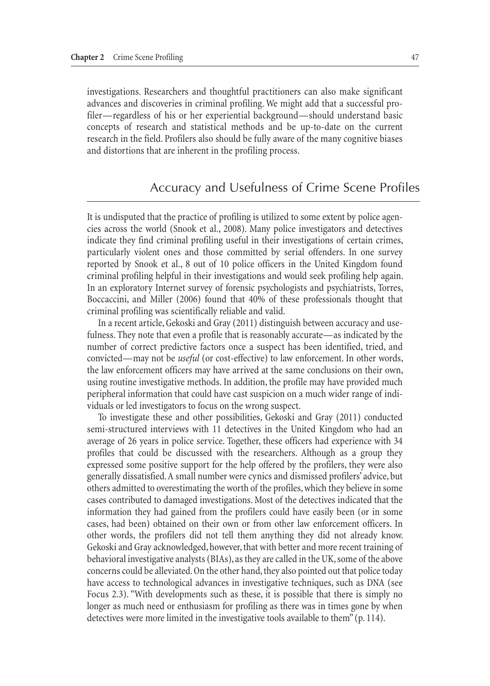investigations. Researchers and thoughtful practitioners can also make significant advances and discoveries in criminal profiling. We might add that a successful profiler—regardless of his or her experiential background—should understand basic concepts of research and statistical methods and be up-to-date on the current research in the field. Profilers also should be fully aware of the many cognitive biases and distortions that are inherent in the profiling process.

## Accuracy and Usefulness of Crime Scene Profiles

It is undisputed that the practice of profiling is utilized to some extent by police agencies across the world (Snook et al., 2008). Many police investigators and detectives indicate they find criminal profiling useful in their investigations of certain crimes, particularly violent ones and those committed by serial offenders. In one survey reported by Snook et al., 8 out of 10 police officers in the United Kingdom found criminal profiling helpful in their investigations and would seek profiling help again. In an exploratory Internet survey of forensic psychologists and psychiatrists, Torres, Boccaccini, and Miller (2006) found that 40% of these professionals thought that criminal profiling was scientifically reliable and valid.

In a recent article, Gekoski and Gray (2011) distinguish between accuracy and usefulness. They note that even a profile that is reasonably accurate—as indicated by the number of correct predictive factors once a suspect has been identified, tried, and convicted—may not be *useful* (or cost-effective) to law enforcement. In other words, the law enforcement officers may have arrived at the same conclusions on their own, using routine investigative methods. In addition, the profile may have provided much peripheral information that could have cast suspicion on a much wider range of individuals or led investigators to focus on the wrong suspect.

To investigate these and other possibilities, Gekoski and Gray (2011) conducted semi-structured interviews with 11 detectives in the United Kingdom who had an average of 26 years in police service. Together, these officers had experience with 34 profiles that could be discussed with the researchers. Although as a group they expressed some positive support for the help offered by the profilers, they were also generally dissatisfied. A small number were cynics and dismissed profilers' advice, but others admitted to overestimating the worth of the profiles, which they believe in some cases contributed to damaged investigations. Most of the detectives indicated that the information they had gained from the profilers could have easily been (or in some cases, had been) obtained on their own or from other law enforcement officers. In other words, the profilers did not tell them anything they did not already know. Gekoski and Gray acknowledged, however, that with better and more recent training of behavioral investigative analysts (BIAs), as they are called in the UK, some of the above concerns could be alleviated. On the other hand, they also pointed out that police today have access to technological advances in investigative techniques, such as DNA (see Focus 2.3). "With developments such as these, it is possible that there is simply no longer as much need or enthusiasm for profiling as there was in times gone by when detectives were more limited in the investigative tools available to them" (p. 114).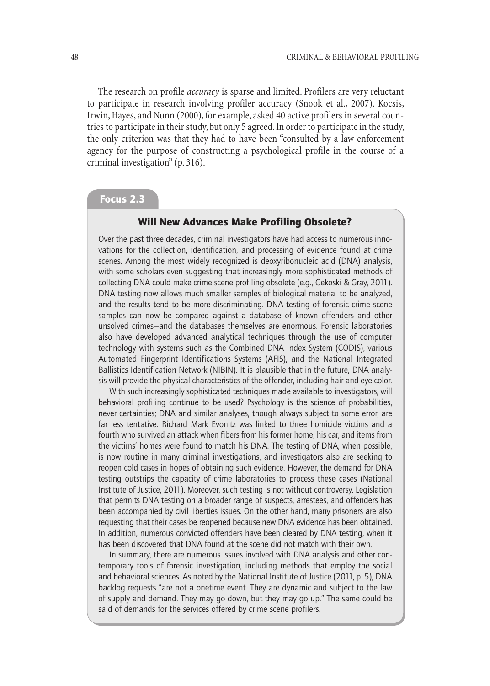The research on profile *accuracy* is sparse and limited. Profilers are very reluctant to participate in research involving profiler accuracy (Snook et al., 2007). Kocsis, Irwin, Hayes, and Nunn (2000), for example, asked 40 active profilers in several countries to participate in their study, but only 5 agreed. In order to participate in the study, the only criterion was that they had to have been "consulted by a law enforcement agency for the purpose of constructing a psychological profile in the course of a criminal investigation" (p. 316).

#### Focus 2.3

#### Will New Advances Make Profiling Obsolete?

Over the past three decades, criminal investigators have had access to numerous innovations for the collection, identification, and processing of evidence found at crime scenes. Among the most widely recognized is deoxyribonucleic acid (DNA) analysis, with some scholars even suggesting that increasingly more sophisticated methods of collecting DNA could make crime scene profiling obsolete (e.g., Gekoski & Gray, 2011). DNA testing now allows much smaller samples of biological material to be analyzed, and the results tend to be more discriminating. DNA testing of forensic crime scene samples can now be compared against a database of known offenders and other unsolved crimes—and the databases themselves are enormous. Forensic laboratories also have developed advanced analytical techniques through the use of computer technology with systems such as the Combined DNA Index System (CODIS), various Automated Fingerprint Identifications Systems (AFIS), and the National Integrated Ballistics Identification Network (NIBIN). It is plausible that in the future, DNA analysis will provide the physical characteristics of the offender, including hair and eye color.

With such increasingly sophisticated techniques made available to investigators, will behavioral profiling continue to be used? Psychology is the science of probabilities, never certainties; DNA and similar analyses, though always subject to some error, are far less tentative. Richard Mark Evonitz was linked to three homicide victims and a fourth who survived an attack when fibers from his former home, his car, and items from the victims' homes were found to match his DNA. The testing of DNA, when possible, is now routine in many criminal investigations, and investigators also are seeking to reopen cold cases in hopes of obtaining such evidence. However, the demand for DNA testing outstrips the capacity of crime laboratories to process these cases (National Institute of Justice, 2011). Moreover, such testing is not without controversy. Legislation that permits DNA testing on a broader range of suspects, arrestees, and offenders has been accompanied by civil liberties issues. On the other hand, many prisoners are also requesting that their cases be reopened because new DNA evidence has been obtained. In addition, numerous convicted offenders have been cleared by DNA testing, when it has been discovered that DNA found at the scene did not match with their own.

In summary, there are numerous issues involved with DNA analysis and other contemporary tools of forensic investigation, including methods that employ the social and behavioral sciences. As noted by the National Institute of Justice (2011, p. 5), DNA backlog requests "are not a onetime event. They are dynamic and subject to the law of supply and demand. They may go down, but they may go up." The same could be said of demands for the services offered by crime scene profilers.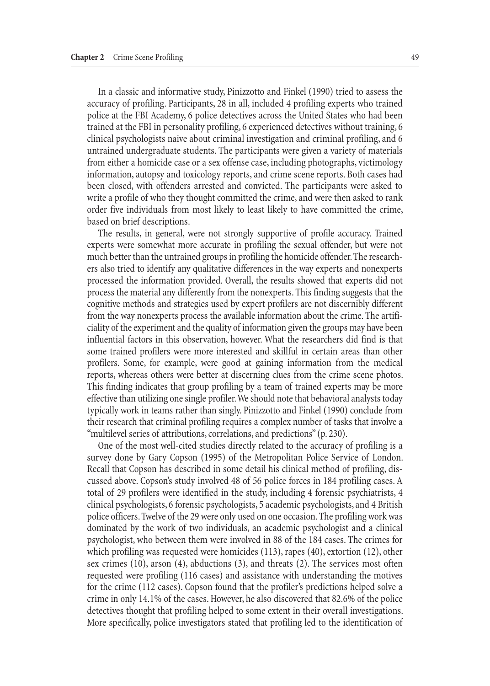In a classic and informative study, Pinizzotto and Finkel (1990) tried to assess the accuracy of profiling. Participants, 28 in all, included 4 profiling experts who trained police at the FBI Academy, 6 police detectives across the United States who had been trained at the FBI in personality profiling, 6 experienced detectives without training, 6 clinical psychologists naive about criminal investigation and criminal profiling, and 6 untrained undergraduate students. The participants were given a variety of materials from either a homicide case or a sex offense case, including photographs, victimology information, autopsy and toxicology reports, and crime scene reports. Both cases had been closed, with offenders arrested and convicted. The participants were asked to write a profile of who they thought committed the crime, and were then asked to rank order five individuals from most likely to least likely to have committed the crime, based on brief descriptions.

The results, in general, were not strongly supportive of profile accuracy. Trained experts were somewhat more accurate in profiling the sexual offender, but were not much better than the untrained groups in profiling the homicide offender. The researchers also tried to identify any qualitative differences in the way experts and nonexperts processed the information provided. Overall, the results showed that experts did not process the material any differently from the nonexperts. This finding suggests that the cognitive methods and strategies used by expert profilers are not discernibly different from the way nonexperts process the available information about the crime. The artificiality of the experiment and the quality of information given the groups may have been influential factors in this observation, however. What the researchers did find is that some trained profilers were more interested and skillful in certain areas than other profilers. Some, for example, were good at gaining information from the medical reports, whereas others were better at discerning clues from the crime scene photos. This finding indicates that group profiling by a team of trained experts may be more effective than utilizing one single profiler. We should note that behavioral analysts today typically work in teams rather than singly. Pinizzotto and Finkel (1990) conclude from their research that criminal profiling requires a complex number of tasks that involve a "multilevel series of attributions, correlations, and predictions" (p. 230).

One of the most well-cited studies directly related to the accuracy of profiling is a survey done by Gary Copson (1995) of the Metropolitan Police Service of London. Recall that Copson has described in some detail his clinical method of profiling, discussed above. Copson's study involved 48 of 56 police forces in 184 profiling cases. A total of 29 profilers were identified in the study, including 4 forensic psychiatrists, 4 clinical psychologists, 6 forensic psychologists, 5 academic psychologists, and 4 British police officers. Twelve of the 29 were only used on one occasion. The profiling work was dominated by the work of two individuals, an academic psychologist and a clinical psychologist, who between them were involved in 88 of the 184 cases. The crimes for which profiling was requested were homicides (113), rapes (40), extortion (12), other sex crimes (10), arson (4), abductions (3), and threats (2). The services most often requested were profiling (116 cases) and assistance with understanding the motives for the crime (112 cases). Copson found that the profiler's predictions helped solve a crime in only 14.1% of the cases. However, he also discovered that 82.6% of the police detectives thought that profiling helped to some extent in their overall investigations. More specifically, police investigators stated that profiling led to the identification of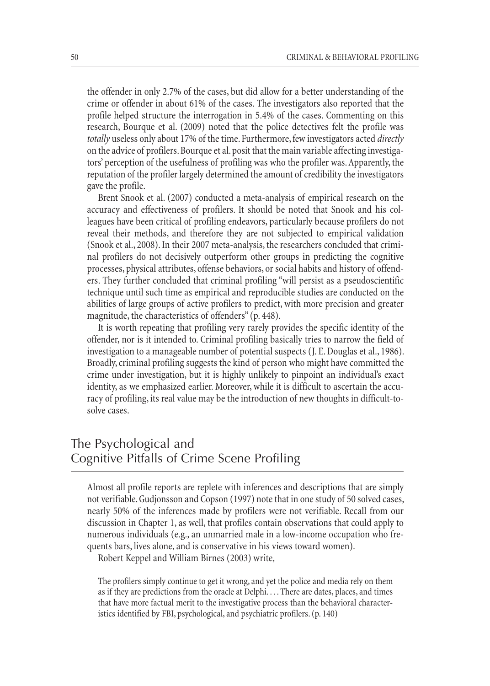the offender in only 2.7% of the cases, but did allow for a better understanding of the crime or offender in about 61% of the cases. The investigators also reported that the profile helped structure the interrogation in 5.4% of the cases. Commenting on this research, Bourque et al. (2009) noted that the police detectives felt the profile was *totally* useless only about 17% of the time. Furthermore, few investigators acted *directly* on the advice of profilers. Bourque et al. posit that the main variable affecting investigators' perception of the usefulness of profiling was who the profiler was. Apparently, the reputation of the profiler largely determined the amount of credibility the investigators gave the profile.

Brent Snook et al. (2007) conducted a meta-analysis of empirical research on the accuracy and effectiveness of profilers. It should be noted that Snook and his colleagues have been critical of profiling endeavors, particularly because profilers do not reveal their methods, and therefore they are not subjected to empirical validation (Snook et al., 2008). In their 2007 meta-analysis, the researchers concluded that criminal profilers do not decisively outperform other groups in predicting the cognitive processes, physical attributes, offense behaviors, or social habits and history of offenders. They further concluded that criminal profiling "will persist as a pseudoscientific technique until such time as empirical and reproducible studies are conducted on the abilities of large groups of active profilers to predict, with more precision and greater magnitude, the characteristics of offenders" (p. 448).

It is worth repeating that profiling very rarely provides the specific identity of the offender, nor is it intended to. Criminal profiling basically tries to narrow the field of investigation to a manageable number of potential suspects (J. E. Douglas et al., 1986). Broadly, criminal profiling suggests the kind of person who might have committed the crime under investigation, but it is highly unlikely to pinpoint an individual's exact identity, as we emphasized earlier. Moreover, while it is difficult to ascertain the accuracy of profiling, its real value may be the introduction of new thoughts in difficult-tosolve cases.

# The Psychological and Cognitive Pitfalls of Crime Scene Profiling

Almost all profile reports are replete with inferences and descriptions that are simply not verifiable. Gudjonsson and Copson (1997) note that in one study of 50 solved cases, nearly 50% of the inferences made by profilers were not verifiable. Recall from our discussion in Chapter 1, as well, that profiles contain observations that could apply to numerous individuals (e.g., an unmarried male in a low-income occupation who frequents bars, lives alone, and is conservative in his views toward women).

Robert Keppel and William Birnes (2003) write,

The profilers simply continue to get it wrong, and yet the police and media rely on them as if they are predictions from the oracle at Delphi.... There are dates, places, and times that have more factual merit to the investigative process than the behavioral characteristics identified by FBI, psychological, and psychiatric profilers. (p. 140)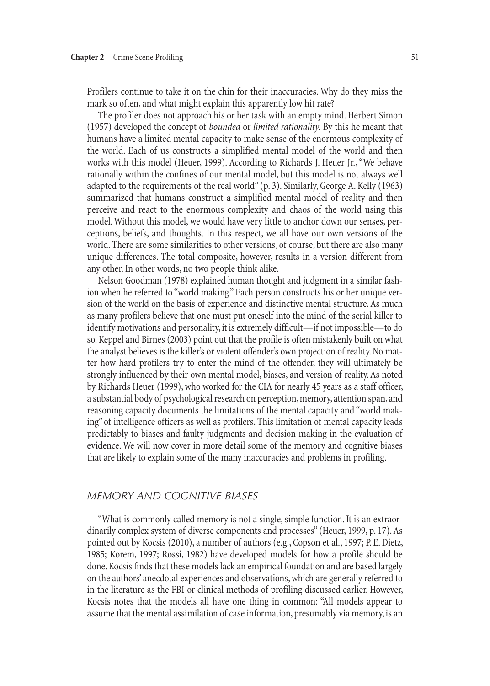Profilers continue to take it on the chin for their inaccuracies. Why do they miss the mark so often, and what might explain this apparently low hit rate?

The profiler does not approach his or her task with an empty mind. Herbert Simon (1957) developed the concept of *bounded* or *limited rationality.* By this he meant that humans have a limited mental capacity to make sense of the enormous complexity of the world. Each of us constructs a simplified mental model of the world and then works with this model (Heuer, 1999). According to Richards J. Heuer Jr., "We behave rationally within the confines of our mental model, but this model is not always well adapted to the requirements of the real world" (p. 3). Similarly, George A. Kelly (1963) summarized that humans construct a simplified mental model of reality and then perceive and react to the enormous complexity and chaos of the world using this model. Without this model, we would have very little to anchor down our senses, perceptions, beliefs, and thoughts. In this respect, we all have our own versions of the world. There are some similarities to other versions, of course, but there are also many unique differences. The total composite, however, results in a version different from any other. In other words, no two people think alike.

Nelson Goodman (1978) explained human thought and judgment in a similar fashion when he referred to "world making." Each person constructs his or her unique version of the world on the basis of experience and distinctive mental structure. As much as many profilers believe that one must put oneself into the mind of the serial killer to identify motivations and personality, it is extremely difficult—if not impossible—to do so. Keppel and Birnes (2003) point out that the profile is often mistakenly built on what the analyst believes is the killer's or violent offender's own projection of reality. No matter how hard profilers try to enter the mind of the offender, they will ultimately be strongly influenced by their own mental model, biases, and version of reality. As noted by Richards Heuer (1999), who worked for the CIA for nearly 45 years as a staff officer, a substantial body of psychological research on perception, memory, attention span, and reasoning capacity documents the limitations of the mental capacity and "world making" of intelligence officers as well as profilers. This limitation of mental capacity leads predictably to biases and faulty judgments and decision making in the evaluation of evidence. We will now cover in more detail some of the memory and cognitive biases that are likely to explain some of the many inaccuracies and problems in profiling.

#### *MEMORY AND COGNITIVE BIASES*

"What is commonly called memory is not a single, simple function. It is an extraordinarily complex system of diverse components and processes" (Heuer, 1999, p. 17). As pointed out by Kocsis (2010), a number of authors (e.g., Copson et al., 1997; P. E. Dietz, 1985; Korem, 1997; Rossi, 1982) have developed models for how a profile should be done. Kocsis finds that these models lack an empirical foundation and are based largely on the authors' anecdotal experiences and observations, which are generally referred to in the literature as the FBI or clinical methods of profiling discussed earlier. However, Kocsis notes that the models all have one thing in common: "All models appear to assume that the mental assimilation of case information, presumably via memory, is an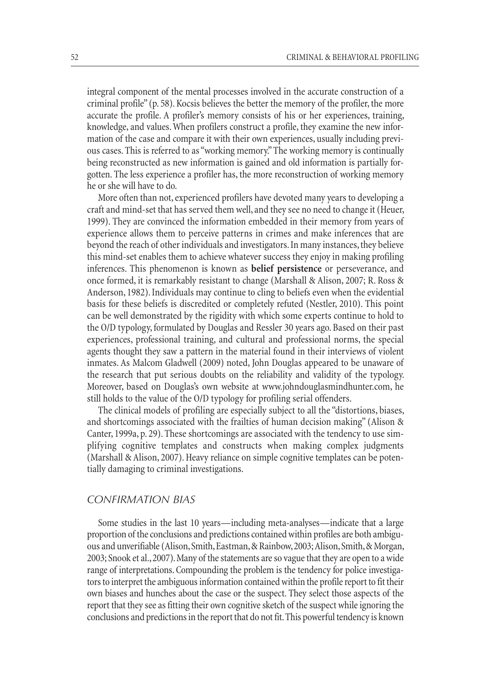integral component of the mental processes involved in the accurate construction of a criminal profile" (p. 58). Kocsis believes the better the memory of the profiler, the more accurate the profile. A profiler's memory consists of his or her experiences, training, knowledge, and values. When profilers construct a profile, they examine the new information of the case and compare it with their own experiences, usually including previous cases. This is referred to as "working memory." The working memory is continually being reconstructed as new information is gained and old information is partially forgotten. The less experience a profiler has, the more reconstruction of working memory he or she will have to do.

More often than not, experienced profilers have devoted many years to developing a craft and mind-set that has served them well, and they see no need to change it (Heuer, 1999). They are convinced the information embedded in their memory from years of experience allows them to perceive patterns in crimes and make inferences that are beyond the reach of other individuals and investigators. In many instances, they believe this mind-set enables them to achieve whatever success they enjoy in making profiling inferences. This phenomenon is known as **belief persistence** or perseverance, and once formed, it is remarkably resistant to change (Marshall & Alison, 2007; R. Ross & Anderson, 1982). Individuals may continue to cling to beliefs even when the evidential basis for these beliefs is discredited or completely refuted (Nestler, 2010). This point can be well demonstrated by the rigidity with which some experts continue to hold to the O/D typology, formulated by Douglas and Ressler 30 years ago. Based on their past experiences, professional training, and cultural and professional norms, the special agents thought they saw a pattern in the material found in their interviews of violent inmates. As Malcom Gladwell (2009) noted, John Douglas appeared to be unaware of the research that put serious doubts on the reliability and validity of the typology. Moreover, based on Douglas's own website at www.johndouglasmindhunter.com, he still holds to the value of the O/D typology for profiling serial offenders.

The clinical models of profiling are especially subject to all the "distortions, biases, and shortcomings associated with the frailties of human decision making" (Alison & Canter, 1999a, p. 29). These shortcomings are associated with the tendency to use simplifying cognitive templates and constructs when making complex judgments (Marshall & Alison, 2007). Heavy reliance on simple cognitive templates can be potentially damaging to criminal investigations.

#### *CONFIRMATION BIAS*

Some studies in the last 10 years—including meta-analyses—indicate that a large proportion of the conclusions and predictions contained within profiles are both ambiguous and unverifiable (Alison, Smith, Eastman, & Rainbow, 2003; Alison, Smith, & Morgan, 2003; Snook et al., 2007). Many of the statements are so vague that they are open to a wide range of interpretations. Compounding the problem is the tendency for police investigators to interpret the ambiguous information contained within the profile report to fit their own biases and hunches about the case or the suspect. They select those aspects of the report that they see as fitting their own cognitive sketch of the suspect while ignoring the conclusions and predictions in the report that do not fit. This powerful tendency is known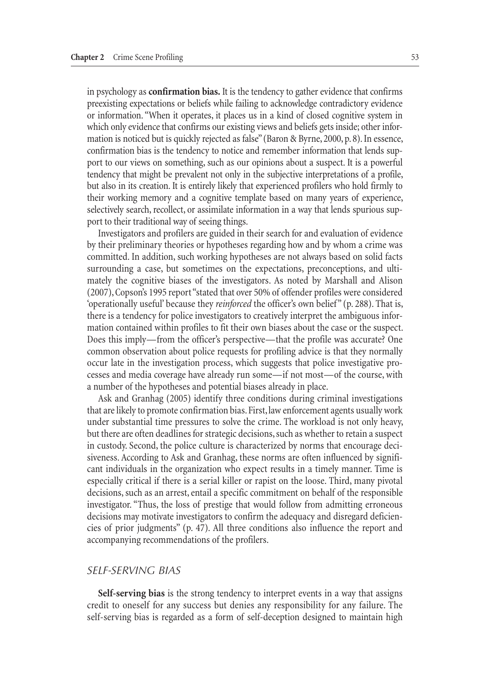in psychology as **confirmation bias.** It is the tendency to gather evidence that confirms preexisting expectations or beliefs while failing to acknowledge contradictory evidence or information. "When it operates, it places us in a kind of closed cognitive system in which only evidence that confirms our existing views and beliefs gets inside; other information is noticed but is quickly rejected as false" (Baron & Byrne, 2000, p. 8). In essence, confirmation bias is the tendency to notice and remember information that lends support to our views on something, such as our opinions about a suspect. It is a powerful tendency that might be prevalent not only in the subjective interpretations of a profile, but also in its creation. It is entirely likely that experienced profilers who hold firmly to their working memory and a cognitive template based on many years of experience, selectively search, recollect, or assimilate information in a way that lends spurious support to their traditional way of seeing things.

Investigators and profilers are guided in their search for and evaluation of evidence by their preliminary theories or hypotheses regarding how and by whom a crime was committed. In addition, such working hypotheses are not always based on solid facts surrounding a case, but sometimes on the expectations, preconceptions, and ultimately the cognitive biases of the investigators. As noted by Marshall and Alison (2007), Copson's 1995 report "stated that over 50% of offender profiles were considered 'operationally useful' because they *reinforced* the officer's own belief" (p. 288). That is, there is a tendency for police investigators to creatively interpret the ambiguous information contained within profiles to fit their own biases about the case or the suspect. Does this imply—from the officer's perspective—that the profile was accurate? One common observation about police requests for profiling advice is that they normally occur late in the investigation process, which suggests that police investigative processes and media coverage have already run some—if not most—of the course, with a number of the hypotheses and potential biases already in place.

Ask and Granhag (2005) identify three conditions during criminal investigations that are likely to promote confirmation bias. First, law enforcement agents usually work under substantial time pressures to solve the crime. The workload is not only heavy, but there are often deadlines for strategic decisions, such as whether to retain a suspect in custody. Second, the police culture is characterized by norms that encourage decisiveness. According to Ask and Granhag, these norms are often influenced by significant individuals in the organization who expect results in a timely manner. Time is especially critical if there is a serial killer or rapist on the loose. Third, many pivotal decisions, such as an arrest, entail a specific commitment on behalf of the responsible investigator. "Thus, the loss of prestige that would follow from admitting erroneous decisions may motivate investigators to confirm the adequacy and disregard deficiencies of prior judgments" (p. 47). All three conditions also influence the report and accompanying recommendations of the profilers.

#### *SELF-SERVING BIAS*

**Self-serving bias** is the strong tendency to interpret events in a way that assigns credit to oneself for any success but denies any responsibility for any failure. The self-serving bias is regarded as a form of self-deception designed to maintain high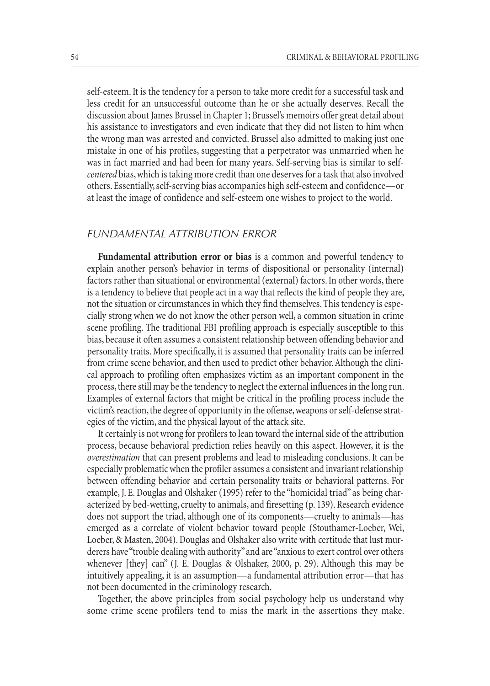self-esteem. It is the tendency for a person to take more credit for a successful task and less credit for an unsuccessful outcome than he or she actually deserves. Recall the discussion about James Brussel in Chapter 1; Brussel's memoirs offer great detail about his assistance to investigators and even indicate that they did not listen to him when the wrong man was arrested and convicted. Brussel also admitted to making just one mistake in one of his profiles, suggesting that a perpetrator was unmarried when he was in fact married and had been for many years. Self-serving bias is similar to self*centered* bias, which is taking more credit than one deserves for a task that also involved others. Essentially, self-serving bias accompanies high self-esteem and confidence—or at least the image of confidence and self-esteem one wishes to project to the world.

### *FUNDAMENTAL ATTRIBUTION ERROR*

**Fundamental attribution error or bias** is a common and powerful tendency to explain another person's behavior in terms of dispositional or personality (internal) factors rather than situational or environmental (external) factors. In other words, there is a tendency to believe that people act in a way that reflects the kind of people they are, not the situation or circumstances in which they find themselves. This tendency is especially strong when we do not know the other person well, a common situation in crime scene profiling. The traditional FBI profiling approach is especially susceptible to this bias, because it often assumes a consistent relationship between offending behavior and personality traits. More specifically, it is assumed that personality traits can be inferred from crime scene behavior, and then used to predict other behavior. Although the clinical approach to profiling often emphasizes victim as an important component in the process, there still may be the tendency to neglect the external influences in the long run. Examples of external factors that might be critical in the profiling process include the victim's reaction, the degree of opportunity in the offense, weapons or self-defense strategies of the victim, and the physical layout of the attack site.

It certainly is not wrong for profilers to lean toward the internal side of the attribution process, because behavioral prediction relies heavily on this aspect. However, it is the *overestimation* that can present problems and lead to misleading conclusions. It can be especially problematic when the profiler assumes a consistent and invariant relationship between offending behavior and certain personality traits or behavioral patterns. For example, J. E. Douglas and Olshaker (1995) refer to the "homicidal triad" as being characterized by bed-wetting, cruelty to animals, and firesetting (p. 139). Research evidence does not support the triad, although one of its components—cruelty to animals—has emerged as a correlate of violent behavior toward people (Stouthamer-Loeber, Wei, Loeber, & Masten, 2004). Douglas and Olshaker also write with certitude that lust murderers have "trouble dealing with authority" and are "anxious to exert control over others whenever [they] can" (J. E. Douglas & Olshaker, 2000, p. 29). Although this may be intuitively appealing, it is an assumption—a fundamental attribution error—that has not been documented in the criminology research.

Together, the above principles from social psychology help us understand why some crime scene profilers tend to miss the mark in the assertions they make.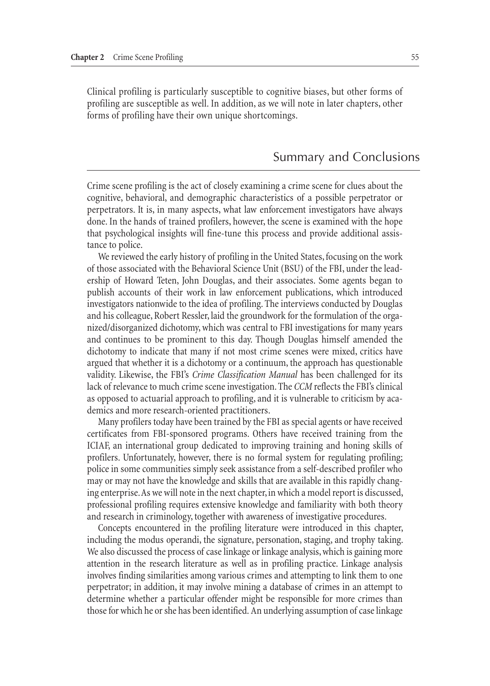Clinical profiling is particularly susceptible to cognitive biases, but other forms of profiling are susceptible as well. In addition, as we will note in later chapters, other forms of profiling have their own unique shortcomings.

## Summary and Conclusions

Crime scene profiling is the act of closely examining a crime scene for clues about the cognitive, behavioral, and demographic characteristics of a possible perpetrator or perpetrators. It is, in many aspects, what law enforcement investigators have always done. In the hands of trained profilers, however, the scene is examined with the hope that psychological insights will fine-tune this process and provide additional assistance to police.

We reviewed the early history of profiling in the United States, focusing on the work of those associated with the Behavioral Science Unit (BSU) of the FBI, under the leadership of Howard Teten, John Douglas, and their associates. Some agents began to publish accounts of their work in law enforcement publications, which introduced investigators nationwide to the idea of profiling. The interviews conducted by Douglas and his colleague, Robert Ressler, laid the groundwork for the formulation of the organized/disorganized dichotomy, which was central to FBI investigations for many years and continues to be prominent to this day. Though Douglas himself amended the dichotomy to indicate that many if not most crime scenes were mixed, critics have argued that whether it is a dichotomy or a continuum, the approach has questionable validity. Likewise, the FBI's *Crime Classification Manual* has been challenged for its lack of relevance to much crime scene investigation. The *CCM* reflects the FBI's clinical as opposed to actuarial approach to profiling, and it is vulnerable to criticism by academics and more research-oriented practitioners.

Many profilers today have been trained by the FBI as special agents or have received certificates from FBI-sponsored programs. Others have received training from the ICIAF, an international group dedicated to improving training and honing skills of profilers. Unfortunately, however, there is no formal system for regulating profiling; police in some communities simply seek assistance from a self-described profiler who may or may not have the knowledge and skills that are available in this rapidly changing enterprise. As we will note in the next chapter, in which a model report is discussed, professional profiling requires extensive knowledge and familiarity with both theory and research in criminology, together with awareness of investigative procedures.

Concepts encountered in the profiling literature were introduced in this chapter, including the modus operandi, the signature, personation, staging, and trophy taking. We also discussed the process of case linkage or linkage analysis, which is gaining more attention in the research literature as well as in profiling practice. Linkage analysis involves finding similarities among various crimes and attempting to link them to one perpetrator; in addition, it may involve mining a database of crimes in an attempt to determine whether a particular offender might be responsible for more crimes than those for which he or she has been identified. An underlying assumption of case linkage